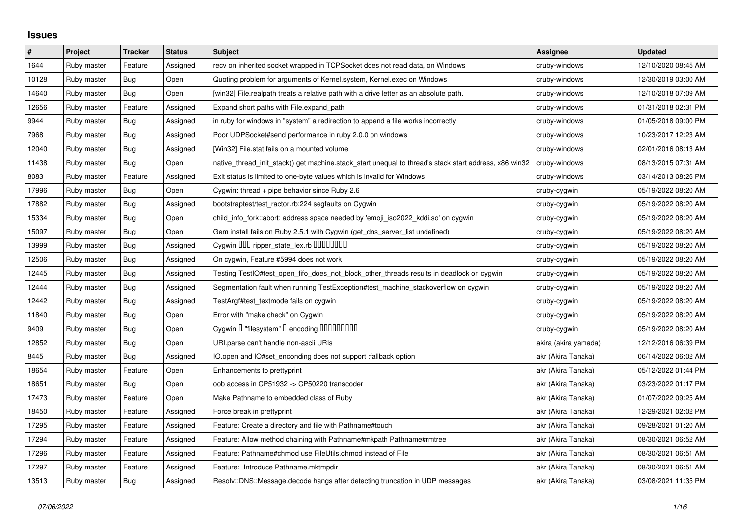## **Issues**

| $\#$  | Project     | <b>Tracker</b> | <b>Status</b> | <b>Subject</b>                                                                                        | Assignee             | <b>Updated</b>      |
|-------|-------------|----------------|---------------|-------------------------------------------------------------------------------------------------------|----------------------|---------------------|
| 1644  | Ruby master | Feature        | Assigned      | recv on inherited socket wrapped in TCPSocket does not read data, on Windows                          | cruby-windows        | 12/10/2020 08:45 AM |
| 10128 | Ruby master | Bug            | Open          | Quoting problem for arguments of Kernel.system, Kernel.exec on Windows                                | cruby-windows        | 12/30/2019 03:00 AM |
| 14640 | Ruby master | Bug            | Open          | [win32] File.realpath treats a relative path with a drive letter as an absolute path.                 | cruby-windows        | 12/10/2018 07:09 AM |
| 12656 | Ruby master | Feature        | Assigned      | Expand short paths with File.expand path                                                              | cruby-windows        | 01/31/2018 02:31 PM |
| 9944  | Ruby master | <b>Bug</b>     | Assigned      | in ruby for windows in "system" a redirection to append a file works incorrectly                      | cruby-windows        | 01/05/2018 09:00 PM |
| 7968  | Ruby master | Bug            | Assigned      | Poor UDPSocket#send performance in ruby 2.0.0 on windows                                              | cruby-windows        | 10/23/2017 12:23 AM |
| 12040 | Ruby master | Bug            | Assigned      | [Win32] File.stat fails on a mounted volume                                                           | cruby-windows        | 02/01/2016 08:13 AM |
| 11438 | Ruby master | Bug            | Open          | native_thread_init_stack() get machine.stack_start unequal to thread's stack start address, x86 win32 | cruby-windows        | 08/13/2015 07:31 AM |
| 8083  | Ruby master | Feature        | Assigned      | Exit status is limited to one-byte values which is invalid for Windows                                | cruby-windows        | 03/14/2013 08:26 PM |
| 17996 | Ruby master | Bug            | Open          | Cygwin: thread + pipe behavior since Ruby 2.6                                                         | cruby-cygwin         | 05/19/2022 08:20 AM |
| 17882 | Ruby master | Bug            | Assigned      | bootstraptest/test_ractor.rb:224 segfaults on Cygwin                                                  | cruby-cygwin         | 05/19/2022 08:20 AM |
| 15334 | Ruby master | <b>Bug</b>     | Open          | child_info_fork::abort: address space needed by 'emoji_iso2022_kddi.so' on cygwin                     | cruby-cygwin         | 05/19/2022 08:20 AM |
| 15097 | Ruby master | <b>Bug</b>     | Open          | Gem install fails on Ruby 2.5.1 with Cygwin (get_dns_server_list undefined)                           | cruby-cygwin         | 05/19/2022 08:20 AM |
| 13999 | Ruby master | Bug            | Assigned      | Cygwin 000 ripper_state_lex.rb 0000000                                                                | cruby-cygwin         | 05/19/2022 08:20 AM |
| 12506 | Ruby master | <b>Bug</b>     | Assigned      | On cygwin, Feature #5994 does not work                                                                | cruby-cygwin         | 05/19/2022 08:20 AM |
| 12445 | Ruby master | Bug            | Assigned      | Testing TestIO#test_open_fifo_does_not_block_other_threads results in deadlock on cygwin              | cruby-cygwin         | 05/19/2022 08:20 AM |
| 12444 | Ruby master | Bug            | Assigned      | Segmentation fault when running TestException#test_machine_stackoverflow on cygwin                    | cruby-cygwin         | 05/19/2022 08:20 AM |
| 12442 | Ruby master | Bug            | Assigned      | TestArgf#test textmode fails on cygwin                                                                | cruby-cygwin         | 05/19/2022 08:20 AM |
| 11840 | Ruby master | <b>Bug</b>     | Open          | Error with "make check" on Cygwin                                                                     | cruby-cygwin         | 05/19/2022 08:20 AM |
| 9409  | Ruby master | Bug            | Open          | Cygwin I "filesystem" I encoding IIIIIIIIIIII                                                         | cruby-cygwin         | 05/19/2022 08:20 AM |
| 12852 | Ruby master | Bug            | Open          | URI.parse can't handle non-ascii URIs                                                                 | akira (akira yamada) | 12/12/2016 06:39 PM |
| 8445  | Ruby master | Bug            | Assigned      | IO.open and IO#set enconding does not support : fallback option                                       | akr (Akira Tanaka)   | 06/14/2022 06:02 AM |
| 18654 | Ruby master | Feature        | Open          | Enhancements to prettyprint                                                                           | akr (Akira Tanaka)   | 05/12/2022 01:44 PM |
| 18651 | Ruby master | Bug            | Open          | oob access in CP51932 -> CP50220 transcoder                                                           | akr (Akira Tanaka)   | 03/23/2022 01:17 PM |
| 17473 | Ruby master | Feature        | Open          | Make Pathname to embedded class of Ruby                                                               | akr (Akira Tanaka)   | 01/07/2022 09:25 AM |
| 18450 | Ruby master | Feature        | Assigned      | Force break in prettyprint                                                                            | akr (Akira Tanaka)   | 12/29/2021 02:02 PM |
| 17295 | Ruby master | Feature        | Assigned      | Feature: Create a directory and file with Pathname#touch                                              | akr (Akira Tanaka)   | 09/28/2021 01:20 AM |
| 17294 | Ruby master | Feature        | Assigned      | Feature: Allow method chaining with Pathname#mkpath Pathname#rmtree                                   | akr (Akira Tanaka)   | 08/30/2021 06:52 AM |
| 17296 | Ruby master | Feature        | Assigned      | Feature: Pathname#chmod use FileUtils.chmod instead of File                                           | akr (Akira Tanaka)   | 08/30/2021 06:51 AM |
| 17297 | Ruby master | Feature        | Assigned      | Feature: Introduce Pathname.mktmpdir                                                                  | akr (Akira Tanaka)   | 08/30/2021 06:51 AM |
| 13513 | Ruby master | Bug            | Assigned      | Resolv::DNS::Message.decode hangs after detecting truncation in UDP messages                          | akr (Akira Tanaka)   | 03/08/2021 11:35 PM |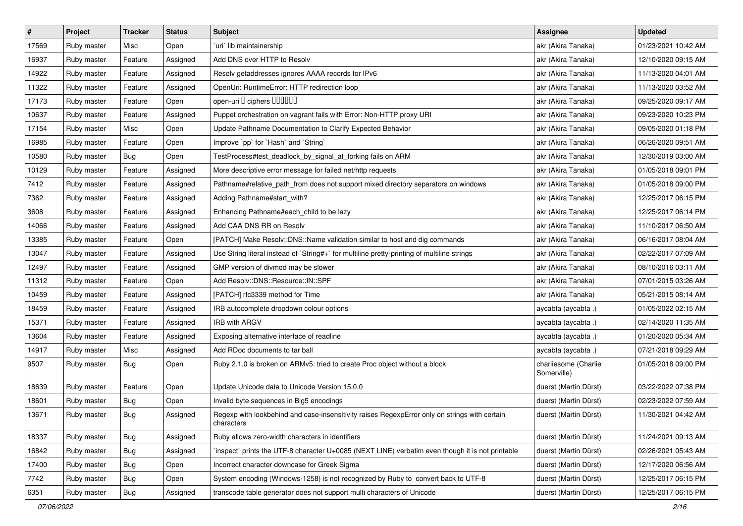| $\vert$ # | Project     | Tracker    | <b>Status</b> | Subject                                                                                                     | <b>Assignee</b>                     | <b>Updated</b>      |
|-----------|-------------|------------|---------------|-------------------------------------------------------------------------------------------------------------|-------------------------------------|---------------------|
| 17569     | Ruby master | Misc       | Open          | uri lib maintainership                                                                                      | akr (Akira Tanaka)                  | 01/23/2021 10:42 AM |
| 16937     | Ruby master | Feature    | Assigned      | Add DNS over HTTP to Resolv                                                                                 | akr (Akira Tanaka)                  | 12/10/2020 09:15 AM |
| 14922     | Ruby master | Feature    | Assigned      | Resolv getaddresses ignores AAAA records for IPv6                                                           | akr (Akira Tanaka)                  | 11/13/2020 04:01 AM |
| 11322     | Ruby master | Feature    | Assigned      | OpenUri: RuntimeError: HTTP redirection loop                                                                | akr (Akira Tanaka)                  | 11/13/2020 03:52 AM |
| 17173     | Ruby master | Feature    | Open          | open-uri I ciphers IIIIIII                                                                                  | akr (Akira Tanaka)                  | 09/25/2020 09:17 AM |
| 10637     | Ruby master | Feature    | Assigned      | Puppet orchestration on vagrant fails with Error: Non-HTTP proxy URI                                        | akr (Akira Tanaka)                  | 09/23/2020 10:23 PM |
| 17154     | Ruby master | Misc       | Open          | Update Pathname Documentation to Clarify Expected Behavior                                                  | akr (Akira Tanaka)                  | 09/05/2020 01:18 PM |
| 16985     | Ruby master | Feature    | Open          | Improve `pp` for `Hash` and `String`                                                                        | akr (Akira Tanaka)                  | 06/26/2020 09:51 AM |
| 10580     | Ruby master | Bug        | Open          | TestProcess#test_deadlock_by_signal_at_forking fails on ARM                                                 | akr (Akira Tanaka)                  | 12/30/2019 03:00 AM |
| 10129     | Ruby master | Feature    | Assigned      | More descriptive error message for failed net/http requests                                                 | akr (Akira Tanaka)                  | 01/05/2018 09:01 PM |
| 7412      | Ruby master | Feature    | Assigned      | Pathname#relative_path_from does not support mixed directory separators on windows                          | akr (Akira Tanaka)                  | 01/05/2018 09:00 PM |
| 7362      | Ruby master | Feature    | Assigned      | Adding Pathname#start_with?                                                                                 | akr (Akira Tanaka)                  | 12/25/2017 06:15 PM |
| 3608      | Ruby master | Feature    | Assigned      | Enhancing Pathname#each_child to be lazy                                                                    | akr (Akira Tanaka)                  | 12/25/2017 06:14 PM |
| 14066     | Ruby master | Feature    | Assigned      | Add CAA DNS RR on Resolv                                                                                    | akr (Akira Tanaka)                  | 11/10/2017 06:50 AM |
| 13385     | Ruby master | Feature    | Open          | [PATCH] Make Resolv::DNS::Name validation similar to host and dig commands                                  | akr (Akira Tanaka)                  | 06/16/2017 08:04 AM |
| 13047     | Ruby master | Feature    | Assigned      | Use String literal instead of `String#+` for multiline pretty-printing of multiline strings                 | akr (Akira Tanaka)                  | 02/22/2017 07:09 AM |
| 12497     | Ruby master | Feature    | Assigned      | GMP version of divmod may be slower                                                                         | akr (Akira Tanaka)                  | 08/10/2016 03:11 AM |
| 11312     | Ruby master | Feature    | Open          | Add Resolv::DNS::Resource::IN::SPF                                                                          | akr (Akira Tanaka)                  | 07/01/2015 03:26 AM |
| 10459     | Ruby master | Feature    | Assigned      | [PATCH] rfc3339 method for Time                                                                             | akr (Akira Tanaka)                  | 05/21/2015 08:14 AM |
| 18459     | Ruby master | Feature    | Assigned      | IRB autocomplete dropdown colour options                                                                    | aycabta (aycabta.)                  | 01/05/2022 02:15 AM |
| 15371     | Ruby master | Feature    | Assigned      | <b>IRB with ARGV</b>                                                                                        | aycabta (aycabta.)                  | 02/14/2020 11:35 AM |
| 13604     | Ruby master | Feature    | Assigned      | Exposing alternative interface of readline                                                                  | aycabta (aycabta .)                 | 01/20/2020 05:34 AM |
| 14917     | Ruby master | Misc       | Assigned      | Add RDoc documents to tar ball                                                                              | aycabta (aycabta.)                  | 07/21/2018 09:29 AM |
| 9507      | Ruby master | Bug        | Open          | Ruby 2.1.0 is broken on ARMv5: tried to create Proc object without a block                                  | charliesome (Charlie<br>Somerville) | 01/05/2018 09:00 PM |
| 18639     | Ruby master | Feature    | Open          | Update Unicode data to Unicode Version 15.0.0                                                               | duerst (Martin Dürst)               | 03/22/2022 07:38 PM |
| 18601     | Ruby master | Bug        | Open          | Invalid byte sequences in Big5 encodings                                                                    | duerst (Martin Dürst)               | 02/23/2022 07:59 AM |
| 13671     | Ruby master | <b>Bug</b> | Assigned      | Regexp with lookbehind and case-insensitivity raises RegexpError only on strings with certain<br>characters | duerst (Martin Dürst)               | 11/30/2021 04:42 AM |
| 18337     | Ruby master | Bug        | Assigned      | Ruby allows zero-width characters in identifiers                                                            | duerst (Martin Dürst)               | 11/24/2021 09:13 AM |
| 16842     | Ruby master | Bug        | Assigned      | `inspect` prints the UTF-8 character U+0085 (NEXT LINE) verbatim even though it is not printable            | duerst (Martin Dürst)               | 02/26/2021 05:43 AM |
| 17400     | Ruby master | Bug        | Open          | Incorrect character downcase for Greek Sigma                                                                | duerst (Martin Dürst)               | 12/17/2020 06:56 AM |
| 7742      | Ruby master | Bug        | Open          | System encoding (Windows-1258) is not recognized by Ruby to convert back to UTF-8                           | duerst (Martin Dürst)               | 12/25/2017 06:15 PM |
| 6351      | Ruby master | Bug        | Assigned      | transcode table generator does not support multi characters of Unicode                                      | duerst (Martin Dürst)               | 12/25/2017 06:15 PM |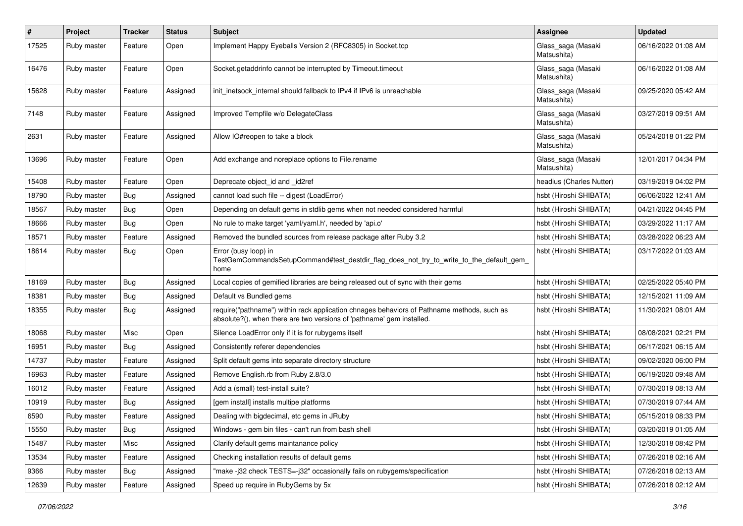| $\pmb{\#}$ | Project     | <b>Tracker</b> | <b>Status</b> | <b>Subject</b>                                                                                                                                                      | <b>Assignee</b>                   | <b>Updated</b>      |
|------------|-------------|----------------|---------------|---------------------------------------------------------------------------------------------------------------------------------------------------------------------|-----------------------------------|---------------------|
| 17525      | Ruby master | Feature        | Open          | Implement Happy Eyeballs Version 2 (RFC8305) in Socket.tcp                                                                                                          | Glass_saga (Masaki<br>Matsushita) | 06/16/2022 01:08 AM |
| 16476      | Ruby master | Feature        | Open          | Socket.getaddrinfo cannot be interrupted by Timeout.timeout                                                                                                         | Glass_saga (Masaki<br>Matsushita) | 06/16/2022 01:08 AM |
| 15628      | Ruby master | Feature        | Assigned      | init inetsock internal should fallback to IPv4 if IPv6 is unreachable                                                                                               | Glass_saga (Masaki<br>Matsushita) | 09/25/2020 05:42 AM |
| 7148       | Ruby master | Feature        | Assigned      | Improved Tempfile w/o DelegateClass                                                                                                                                 | Glass_saga (Masaki<br>Matsushita) | 03/27/2019 09:51 AM |
| 2631       | Ruby master | Feature        | Assigned      | Allow IO#reopen to take a block                                                                                                                                     | Glass_saga (Masaki<br>Matsushita) | 05/24/2018 01:22 PM |
| 13696      | Ruby master | Feature        | Open          | Add exchange and noreplace options to File.rename                                                                                                                   | Glass_saga (Masaki<br>Matsushita) | 12/01/2017 04:34 PM |
| 15408      | Ruby master | Feature        | Open          | Deprecate object_id and _id2ref                                                                                                                                     | headius (Charles Nutter)          | 03/19/2019 04:02 PM |
| 18790      | Ruby master | Bug            | Assigned      | cannot load such file -- digest (LoadError)                                                                                                                         | hsbt (Hiroshi SHIBATA)            | 06/06/2022 12:41 AM |
| 18567      | Ruby master | Bug            | Open          | Depending on default gems in stdlib gems when not needed considered harmful                                                                                         | hsbt (Hiroshi SHIBATA)            | 04/21/2022 04:45 PM |
| 18666      | Ruby master | Bug            | Open          | No rule to make target 'yaml/yaml.h', needed by 'api.o'                                                                                                             | hsbt (Hiroshi SHIBATA)            | 03/29/2022 11:17 AM |
| 18571      | Ruby master | Feature        | Assigned      | Removed the bundled sources from release package after Ruby 3.2                                                                                                     | hsbt (Hiroshi SHIBATA)            | 03/28/2022 06:23 AM |
| 18614      | Ruby master | Bug            | Open          | Error (busy loop) in<br>TestGemCommandsSetupCommand#test_destdir_flag_does_not_try_to_write_to_the_default_gem_<br>home                                             | hsbt (Hiroshi SHIBATA)            | 03/17/2022 01:03 AM |
| 18169      | Ruby master | Bug            | Assigned      | Local copies of gemified libraries are being released out of sync with their gems                                                                                   | hsbt (Hiroshi SHIBATA)            | 02/25/2022 05:40 PM |
| 18381      | Ruby master | Bug            | Assigned      | Default vs Bundled gems                                                                                                                                             | hsbt (Hiroshi SHIBATA)            | 12/15/2021 11:09 AM |
| 18355      | Ruby master | Bug            | Assigned      | require("pathname") within rack application chnages behaviors of Pathname methods, such as<br>absolute?(), when there are two versions of 'pathname' gem installed. | hsbt (Hiroshi SHIBATA)            | 11/30/2021 08:01 AM |
| 18068      | Ruby master | Misc           | Open          | Silence LoadError only if it is for rubygems itself                                                                                                                 | hsbt (Hiroshi SHIBATA)            | 08/08/2021 02:21 PM |
| 16951      | Ruby master | Bug            | Assigned      | Consistently referer dependencies                                                                                                                                   | hsbt (Hiroshi SHIBATA)            | 06/17/2021 06:15 AM |
| 14737      | Ruby master | Feature        | Assigned      | Split default gems into separate directory structure                                                                                                                | hsbt (Hiroshi SHIBATA)            | 09/02/2020 06:00 PM |
| 16963      | Ruby master | Feature        | Assigned      | Remove English.rb from Ruby 2.8/3.0                                                                                                                                 | hsbt (Hiroshi SHIBATA)            | 06/19/2020 09:48 AM |
| 16012      | Ruby master | Feature        | Assigned      | Add a (small) test-install suite?                                                                                                                                   | hsbt (Hiroshi SHIBATA)            | 07/30/2019 08:13 AM |
| 10919      | Ruby master | Bug            | Assigned      | [gem install] installs multipe platforms                                                                                                                            | hsbt (Hiroshi SHIBATA)            | 07/30/2019 07:44 AM |
| 6590       | Ruby master | Feature        | Assigned      | Dealing with bigdecimal, etc gems in JRuby                                                                                                                          | hsbt (Hiroshi SHIBATA)            | 05/15/2019 08:33 PM |
| 15550      | Ruby master | Bug            | Assigned      | Windows - gem bin files - can't run from bash shell                                                                                                                 | hsbt (Hiroshi SHIBATA)            | 03/20/2019 01:05 AM |
| 15487      | Ruby master | Misc           | Assigned      | Clarify default gems maintanance policy                                                                                                                             | hsbt (Hiroshi SHIBATA)            | 12/30/2018 08:42 PM |
| 13534      | Ruby master | Feature        | Assigned      | Checking installation results of default gems                                                                                                                       | hsbt (Hiroshi SHIBATA)            | 07/26/2018 02:16 AM |
| 9366       | Ruby master | Bug            | Assigned      | "make-j32 check TESTS=-j32" occasionally fails on rubygems/specification                                                                                            | hsbt (Hiroshi SHIBATA)            | 07/26/2018 02:13 AM |
| 12639      | Ruby master | Feature        | Assigned      | Speed up require in RubyGems by 5x                                                                                                                                  | hsbt (Hiroshi SHIBATA)            | 07/26/2018 02:12 AM |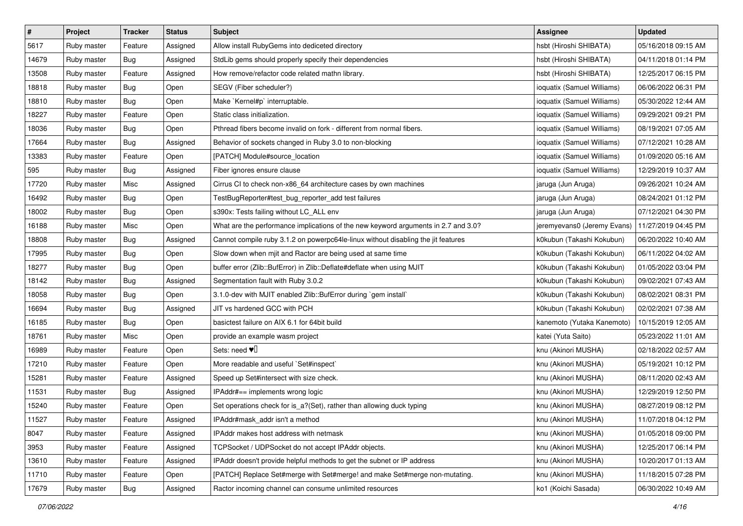| $\pmb{\#}$ | Project     | <b>Tracker</b> | <b>Status</b> | <b>Subject</b>                                                                     | <b>Assignee</b>             | <b>Updated</b>      |
|------------|-------------|----------------|---------------|------------------------------------------------------------------------------------|-----------------------------|---------------------|
| 5617       | Ruby master | Feature        | Assigned      | Allow install RubyGems into dediceted directory                                    | hsbt (Hiroshi SHIBATA)      | 05/16/2018 09:15 AM |
| 14679      | Ruby master | Bug            | Assigned      | StdLib gems should properly specify their dependencies                             | hsbt (Hiroshi SHIBATA)      | 04/11/2018 01:14 PM |
| 13508      | Ruby master | Feature        | Assigned      | How remove/refactor code related mathn library.                                    | hsbt (Hiroshi SHIBATA)      | 12/25/2017 06:15 PM |
| 18818      | Ruby master | <b>Bug</b>     | Open          | SEGV (Fiber scheduler?)                                                            | ioquatix (Samuel Williams)  | 06/06/2022 06:31 PM |
| 18810      | Ruby master | Bug            | Open          | Make `Kernel#p` interruptable.                                                     | ioquatix (Samuel Williams)  | 05/30/2022 12:44 AM |
| 18227      | Ruby master | Feature        | Open          | Static class initialization.                                                       | ioquatix (Samuel Williams)  | 09/29/2021 09:21 PM |
| 18036      | Ruby master | Bug            | Open          | Pthread fibers become invalid on fork - different from normal fibers.              | ioquatix (Samuel Williams)  | 08/19/2021 07:05 AM |
| 17664      | Ruby master | Bug            | Assigned      | Behavior of sockets changed in Ruby 3.0 to non-blocking                            | ioquatix (Samuel Williams)  | 07/12/2021 10:28 AM |
| 13383      | Ruby master | Feature        | Open          | [PATCH] Module#source_location                                                     | ioquatix (Samuel Williams)  | 01/09/2020 05:16 AM |
| 595        | Ruby master | Bug            | Assigned      | Fiber ignores ensure clause                                                        | ioquatix (Samuel Williams)  | 12/29/2019 10:37 AM |
| 17720      | Ruby master | Misc           | Assigned      | Cirrus CI to check non-x86_64 architecture cases by own machines                   | jaruga (Jun Aruga)          | 09/26/2021 10:24 AM |
| 16492      | Ruby master | Bug            | Open          | TestBugReporter#test_bug_reporter_add test failures                                | jaruga (Jun Aruga)          | 08/24/2021 01:12 PM |
| 18002      | Ruby master | Bug            | Open          | s390x: Tests failing without LC_ALL env                                            | jaruga (Jun Aruga)          | 07/12/2021 04:30 PM |
| 16188      | Ruby master | Misc           | Open          | What are the performance implications of the new keyword arguments in 2.7 and 3.0? | jeremyevans0 (Jeremy Evans) | 11/27/2019 04:45 PM |
| 18808      | Ruby master | <b>Bug</b>     | Assigned      | Cannot compile ruby 3.1.2 on powerpc64le-linux without disabling the jit features  | k0kubun (Takashi Kokubun)   | 06/20/2022 10:40 AM |
| 17995      | Ruby master | Bug            | Open          | Slow down when mjit and Ractor are being used at same time                         | k0kubun (Takashi Kokubun)   | 06/11/2022 04:02 AM |
| 18277      | Ruby master | <b>Bug</b>     | Open          | buffer error (Zlib::BufError) in Zlib::Deflate#deflate when using MJIT             | k0kubun (Takashi Kokubun)   | 01/05/2022 03:04 PM |
| 18142      | Ruby master | Bug            | Assigned      | Segmentation fault with Ruby 3.0.2                                                 | k0kubun (Takashi Kokubun)   | 09/02/2021 07:43 AM |
| 18058      | Ruby master | <b>Bug</b>     | Open          | 3.1.0-dev with MJIT enabled Zlib::BufError during `gem install`                    | k0kubun (Takashi Kokubun)   | 08/02/2021 08:31 PM |
| 16694      | Ruby master | Bug            | Assigned      | JIT vs hardened GCC with PCH                                                       | k0kubun (Takashi Kokubun)   | 02/02/2021 07:38 AM |
| 16185      | Ruby master | Bug            | Open          | basictest failure on AIX 6.1 for 64bit build                                       | kanemoto (Yutaka Kanemoto)  | 10/15/2019 12:05 AM |
| 18761      | Ruby master | Misc           | Open          | provide an example wasm project                                                    | katei (Yuta Saito)          | 05/23/2022 11:01 AM |
| 16989      | Ruby master | Feature        | Open          | Sets: need $\Psi$                                                                  | knu (Akinori MUSHA)         | 02/18/2022 02:57 AM |
| 17210      | Ruby master | Feature        | Open          | More readable and useful `Set#inspect`                                             | knu (Akinori MUSHA)         | 05/19/2021 10:12 PM |
| 15281      | Ruby master | Feature        | Assigned      | Speed up Set#intersect with size check.                                            | knu (Akinori MUSHA)         | 08/11/2020 02:43 AM |
| 11531      | Ruby master | Bug            | Assigned      | IPAddr#== implements wrong logic                                                   | knu (Akinori MUSHA)         | 12/29/2019 12:50 PM |
| 15240      | Ruby master | Feature        | Open          | Set operations check for is_a?(Set), rather than allowing duck typing              | knu (Akinori MUSHA)         | 08/27/2019 08:12 PM |
| 11527      | Ruby master | Feature        | Assigned      | IPAddr#mask_addr isn't a method                                                    | knu (Akinori MUSHA)         | 11/07/2018 04:12 PM |
| 8047       | Ruby master | Feature        | Assigned      | IPAddr makes host address with netmask                                             | knu (Akinori MUSHA)         | 01/05/2018 09:00 PM |
| 3953       | Ruby master | Feature        | Assigned      | TCPSocket / UDPSocket do not accept IPAddr objects.                                | knu (Akinori MUSHA)         | 12/25/2017 06:14 PM |
| 13610      | Ruby master | Feature        | Assigned      | IPAddr doesn't provide helpful methods to get the subnet or IP address             | knu (Akinori MUSHA)         | 10/20/2017 01:13 AM |
| 11710      | Ruby master | Feature        | Open          | [PATCH] Replace Set#merge with Set#merge! and make Set#merge non-mutating.         | knu (Akinori MUSHA)         | 11/18/2015 07:28 PM |
| 17679      | Ruby master | <b>Bug</b>     | Assigned      | Ractor incoming channel can consume unlimited resources                            | ko1 (Koichi Sasada)         | 06/30/2022 10:49 AM |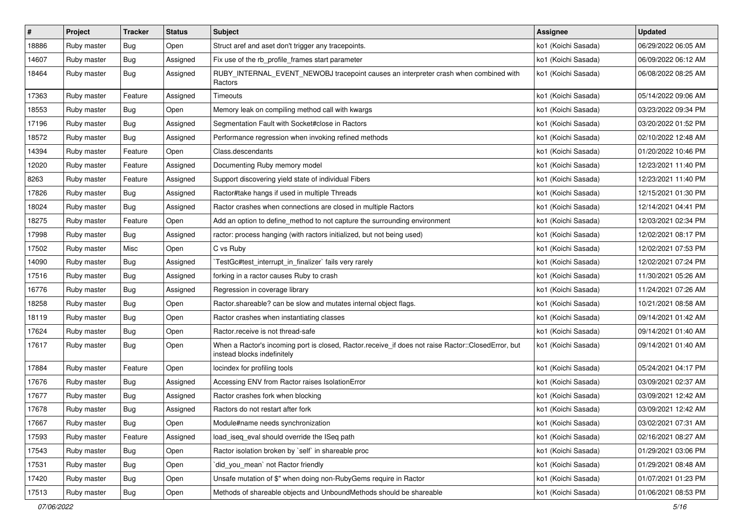| $\sharp$ | Project     | <b>Tracker</b> | <b>Status</b> | <b>Subject</b>                                                                                                                    | <b>Assignee</b>     | <b>Updated</b>      |
|----------|-------------|----------------|---------------|-----------------------------------------------------------------------------------------------------------------------------------|---------------------|---------------------|
| 18886    | Ruby master | <b>Bug</b>     | Open          | Struct aref and aset don't trigger any tracepoints.                                                                               | ko1 (Koichi Sasada) | 06/29/2022 06:05 AM |
| 14607    | Ruby master | Bug            | Assigned      | Fix use of the rb_profile_frames start parameter                                                                                  | ko1 (Koichi Sasada) | 06/09/2022 06:12 AM |
| 18464    | Ruby master | Bug            | Assigned      | RUBY_INTERNAL_EVENT_NEWOBJ tracepoint causes an interpreter crash when combined with<br>Ractors                                   | ko1 (Koichi Sasada) | 06/08/2022 08:25 AM |
| 17363    | Ruby master | Feature        | Assigned      | Timeouts                                                                                                                          | ko1 (Koichi Sasada) | 05/14/2022 09:06 AM |
| 18553    | Ruby master | Bug            | Open          | Memory leak on compiling method call with kwargs                                                                                  | ko1 (Koichi Sasada) | 03/23/2022 09:34 PM |
| 17196    | Ruby master | <b>Bug</b>     | Assigned      | Segmentation Fault with Socket#close in Ractors                                                                                   | ko1 (Koichi Sasada) | 03/20/2022 01:52 PM |
| 18572    | Ruby master | <b>Bug</b>     | Assigned      | Performance regression when invoking refined methods                                                                              | ko1 (Koichi Sasada) | 02/10/2022 12:48 AM |
| 14394    | Ruby master | Feature        | Open          | Class.descendants                                                                                                                 | ko1 (Koichi Sasada) | 01/20/2022 10:46 PM |
| 12020    | Ruby master | Feature        | Assigned      | Documenting Ruby memory model                                                                                                     | ko1 (Koichi Sasada) | 12/23/2021 11:40 PM |
| 8263     | Ruby master | Feature        | Assigned      | Support discovering yield state of individual Fibers                                                                              | ko1 (Koichi Sasada) | 12/23/2021 11:40 PM |
| 17826    | Ruby master | Bug            | Assigned      | Ractor#take hangs if used in multiple Threads                                                                                     | ko1 (Koichi Sasada) | 12/15/2021 01:30 PM |
| 18024    | Ruby master | Bug            | Assigned      | Ractor crashes when connections are closed in multiple Ractors                                                                    | ko1 (Koichi Sasada) | 12/14/2021 04:41 PM |
| 18275    | Ruby master | Feature        | Open          | Add an option to define_method to not capture the surrounding environment                                                         | ko1 (Koichi Sasada) | 12/03/2021 02:34 PM |
| 17998    | Ruby master | Bug            | Assigned      | ractor: process hanging (with ractors initialized, but not being used)                                                            | ko1 (Koichi Sasada) | 12/02/2021 08:17 PM |
| 17502    | Ruby master | Misc           | Open          | C vs Ruby                                                                                                                         | ko1 (Koichi Sasada) | 12/02/2021 07:53 PM |
| 14090    | Ruby master | Bug            | Assigned      | TestGc#test_interrupt_in_finalizer` fails very rarely                                                                             | ko1 (Koichi Sasada) | 12/02/2021 07:24 PM |
| 17516    | Ruby master | Bug            | Assigned      | forking in a ractor causes Ruby to crash                                                                                          | ko1 (Koichi Sasada) | 11/30/2021 05:26 AM |
| 16776    | Ruby master | Bug            | Assigned      | Regression in coverage library                                                                                                    | ko1 (Koichi Sasada) | 11/24/2021 07:26 AM |
| 18258    | Ruby master | Bug            | Open          | Ractor shareable? can be slow and mutates internal object flags.                                                                  | ko1 (Koichi Sasada) | 10/21/2021 08:58 AM |
| 18119    | Ruby master | Bug            | Open          | Ractor crashes when instantiating classes                                                                                         | ko1 (Koichi Sasada) | 09/14/2021 01:42 AM |
| 17624    | Ruby master | Bug            | Open          | Ractor.receive is not thread-safe                                                                                                 | ko1 (Koichi Sasada) | 09/14/2021 01:40 AM |
| 17617    | Ruby master | Bug            | Open          | When a Ractor's incoming port is closed, Ractor.receive_if does not raise Ractor::ClosedError, but<br>instead blocks indefinitely | ko1 (Koichi Sasada) | 09/14/2021 01:40 AM |
| 17884    | Ruby master | Feature        | Open          | locindex for profiling tools                                                                                                      | ko1 (Koichi Sasada) | 05/24/2021 04:17 PM |
| 17676    | Ruby master | Bug            | Assigned      | Accessing ENV from Ractor raises IsolationError                                                                                   | ko1 (Koichi Sasada) | 03/09/2021 02:37 AM |
| 17677    | Ruby master | <b>Bug</b>     | Assigned      | Ractor crashes fork when blocking                                                                                                 | ko1 (Koichi Sasada) | 03/09/2021 12:42 AM |
| 17678    | Ruby master | <b>Bug</b>     | Assigned      | Ractors do not restart after fork                                                                                                 | ko1 (Koichi Sasada) | 03/09/2021 12:42 AM |
| 17667    | Ruby master | Bug            | Open          | Module#name needs synchronization                                                                                                 | ko1 (Koichi Sasada) | 03/02/2021 07:31 AM |
| 17593    | Ruby master | Feature        | Assigned      | load_iseq_eval should override the ISeq path                                                                                      | ko1 (Koichi Sasada) | 02/16/2021 08:27 AM |
| 17543    | Ruby master | <b>Bug</b>     | Open          | Ractor isolation broken by `self` in shareable proc                                                                               | ko1 (Koichi Sasada) | 01/29/2021 03:06 PM |
| 17531    | Ruby master | <b>Bug</b>     | Open          | did you mean' not Ractor friendly                                                                                                 | ko1 (Koichi Sasada) | 01/29/2021 08:48 AM |
| 17420    | Ruby master | Bug            | Open          | Unsafe mutation of \$" when doing non-RubyGems require in Ractor                                                                  | ko1 (Koichi Sasada) | 01/07/2021 01:23 PM |
| 17513    | Ruby master | <b>Bug</b>     | Open          | Methods of shareable objects and UnboundMethods should be shareable                                                               | ko1 (Koichi Sasada) | 01/06/2021 08:53 PM |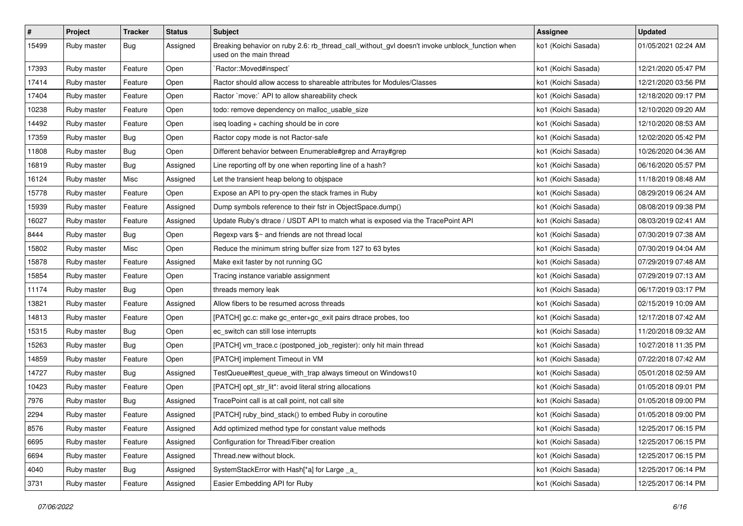| $\pmb{\#}$ | Project     | <b>Tracker</b> | <b>Status</b> | <b>Subject</b>                                                                                                            | <b>Assignee</b>     | <b>Updated</b>      |
|------------|-------------|----------------|---------------|---------------------------------------------------------------------------------------------------------------------------|---------------------|---------------------|
| 15499      | Ruby master | <b>Bug</b>     | Assigned      | Breaking behavior on ruby 2.6: rb_thread_call_without_gvl doesn't invoke unblock_function when<br>used on the main thread | ko1 (Koichi Sasada) | 01/05/2021 02:24 AM |
| 17393      | Ruby master | Feature        | Open          | 'Ractor::Moved#inspect'                                                                                                   | ko1 (Koichi Sasada) | 12/21/2020 05:47 PM |
| 17414      | Ruby master | Feature        | Open          | Ractor should allow access to shareable attributes for Modules/Classes                                                    | ko1 (Koichi Sasada) | 12/21/2020 03:56 PM |
| 17404      | Ruby master | Feature        | Open          | Ractor `move:` API to allow shareability check                                                                            | ko1 (Koichi Sasada) | 12/18/2020 09:17 PM |
| 10238      | Ruby master | Feature        | Open          | todo: remove dependency on malloc_usable_size                                                                             | ko1 (Koichi Sasada) | 12/10/2020 09:20 AM |
| 14492      | Ruby master | Feature        | Open          | iseq loading + caching should be in core                                                                                  | ko1 (Koichi Sasada) | 12/10/2020 08:53 AM |
| 17359      | Ruby master | Bug            | Open          | Ractor copy mode is not Ractor-safe                                                                                       | ko1 (Koichi Sasada) | 12/02/2020 05:42 PM |
| 11808      | Ruby master | <b>Bug</b>     | Open          | Different behavior between Enumerable#grep and Array#grep                                                                 | ko1 (Koichi Sasada) | 10/26/2020 04:36 AM |
| 16819      | Ruby master | Bug            | Assigned      | Line reporting off by one when reporting line of a hash?                                                                  | ko1 (Koichi Sasada) | 06/16/2020 05:57 PM |
| 16124      | Ruby master | Misc           | Assigned      | Let the transient heap belong to objspace                                                                                 | ko1 (Koichi Sasada) | 11/18/2019 08:48 AM |
| 15778      | Ruby master | Feature        | Open          | Expose an API to pry-open the stack frames in Ruby                                                                        | ko1 (Koichi Sasada) | 08/29/2019 06:24 AM |
| 15939      | Ruby master | Feature        | Assigned      | Dump symbols reference to their fstr in ObjectSpace.dump()                                                                | ko1 (Koichi Sasada) | 08/08/2019 09:38 PM |
| 16027      | Ruby master | Feature        | Assigned      | Update Ruby's dtrace / USDT API to match what is exposed via the TracePoint API                                           | ko1 (Koichi Sasada) | 08/03/2019 02:41 AM |
| 8444       | Ruby master | Bug            | Open          | Regexp vars $\frac{6}{5}$ and friends are not thread local                                                                | ko1 (Koichi Sasada) | 07/30/2019 07:38 AM |
| 15802      | Ruby master | Misc           | Open          | Reduce the minimum string buffer size from 127 to 63 bytes                                                                | ko1 (Koichi Sasada) | 07/30/2019 04:04 AM |
| 15878      | Ruby master | Feature        | Assigned      | Make exit faster by not running GC                                                                                        | ko1 (Koichi Sasada) | 07/29/2019 07:48 AM |
| 15854      | Ruby master | Feature        | Open          | Tracing instance variable assignment                                                                                      | ko1 (Koichi Sasada) | 07/29/2019 07:13 AM |
| 11174      | Ruby master | Bug            | Open          | threads memory leak                                                                                                       | ko1 (Koichi Sasada) | 06/17/2019 03:17 PM |
| 13821      | Ruby master | Feature        | Assigned      | Allow fibers to be resumed across threads                                                                                 | ko1 (Koichi Sasada) | 02/15/2019 10:09 AM |
| 14813      | Ruby master | Feature        | Open          | [PATCH] gc.c: make gc_enter+gc_exit pairs dtrace probes, too                                                              | ko1 (Koichi Sasada) | 12/17/2018 07:42 AM |
| 15315      | Ruby master | Bug            | Open          | ec_switch can still lose interrupts                                                                                       | ko1 (Koichi Sasada) | 11/20/2018 09:32 AM |
| 15263      | Ruby master | <b>Bug</b>     | Open          | [PATCH] vm_trace.c (postponed_job_register): only hit main thread                                                         | ko1 (Koichi Sasada) | 10/27/2018 11:35 PM |
| 14859      | Ruby master | Feature        | Open          | [PATCH] implement Timeout in VM                                                                                           | ko1 (Koichi Sasada) | 07/22/2018 07:42 AM |
| 14727      | Ruby master | Bug            | Assigned      | TestQueue#test_queue_with_trap always timeout on Windows10                                                                | ko1 (Koichi Sasada) | 05/01/2018 02:59 AM |
| 10423      | Ruby master | Feature        | Open          | [PATCH] opt_str_lit*: avoid literal string allocations                                                                    | ko1 (Koichi Sasada) | 01/05/2018 09:01 PM |
| 7976       | Ruby master | <b>Bug</b>     | Assigned      | TracePoint call is at call point, not call site                                                                           | ko1 (Koichi Sasada) | 01/05/2018 09:00 PM |
| 2294       | Ruby master | Feature        | Assigned      | [PATCH] ruby_bind_stack() to embed Ruby in coroutine                                                                      | ko1 (Koichi Sasada) | 01/05/2018 09:00 PM |
| 8576       | Ruby master | Feature        | Assigned      | Add optimized method type for constant value methods                                                                      | ko1 (Koichi Sasada) | 12/25/2017 06:15 PM |
| 6695       | Ruby master | Feature        | Assigned      | Configuration for Thread/Fiber creation                                                                                   | ko1 (Koichi Sasada) | 12/25/2017 06:15 PM |
| 6694       | Ruby master | Feature        | Assigned      | Thread.new without block.                                                                                                 | ko1 (Koichi Sasada) | 12/25/2017 06:15 PM |
| 4040       | Ruby master | <b>Bug</b>     | Assigned      | SystemStackError with Hash[*a] for Large _a_                                                                              | ko1 (Koichi Sasada) | 12/25/2017 06:14 PM |
| 3731       | Ruby master | Feature        | Assigned      | Easier Embedding API for Ruby                                                                                             | ko1 (Koichi Sasada) | 12/25/2017 06:14 PM |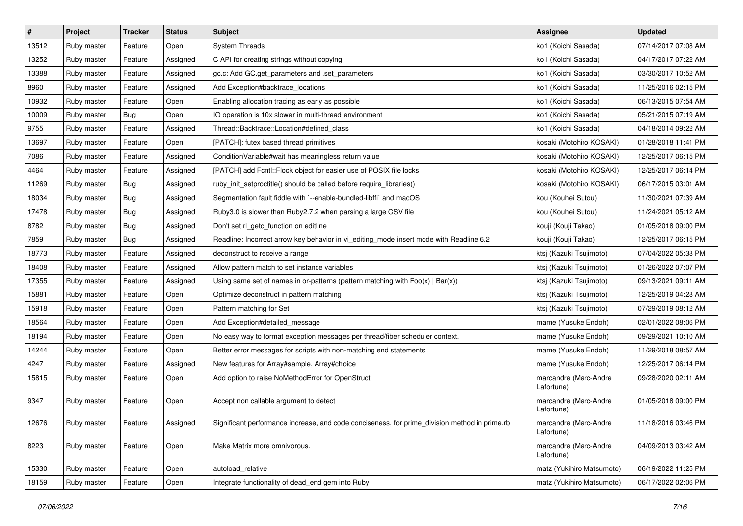| $\vert$ # | Project     | <b>Tracker</b> | <b>Status</b> | <b>Subject</b>                                                                                | <b>Assignee</b>                     | <b>Updated</b>      |
|-----------|-------------|----------------|---------------|-----------------------------------------------------------------------------------------------|-------------------------------------|---------------------|
| 13512     | Ruby master | Feature        | Open          | <b>System Threads</b>                                                                         | ko1 (Koichi Sasada)                 | 07/14/2017 07:08 AM |
| 13252     | Ruby master | Feature        | Assigned      | C API for creating strings without copying                                                    | ko1 (Koichi Sasada)                 | 04/17/2017 07:22 AM |
| 13388     | Ruby master | Feature        | Assigned      | gc.c: Add GC.get_parameters and .set_parameters                                               | ko1 (Koichi Sasada)                 | 03/30/2017 10:52 AM |
| 8960      | Ruby master | Feature        | Assigned      | Add Exception#backtrace_locations                                                             | ko1 (Koichi Sasada)                 | 11/25/2016 02:15 PM |
| 10932     | Ruby master | Feature        | Open          | Enabling allocation tracing as early as possible                                              | ko1 (Koichi Sasada)                 | 06/13/2015 07:54 AM |
| 10009     | Ruby master | <b>Bug</b>     | Open          | IO operation is 10x slower in multi-thread environment                                        | ko1 (Koichi Sasada)                 | 05/21/2015 07:19 AM |
| 9755      | Ruby master | Feature        | Assigned      | Thread::Backtrace::Location#defined class                                                     | ko1 (Koichi Sasada)                 | 04/18/2014 09:22 AM |
| 13697     | Ruby master | Feature        | Open          | [PATCH]: futex based thread primitives                                                        | kosaki (Motohiro KOSAKI)            | 01/28/2018 11:41 PM |
| 7086      | Ruby master | Feature        | Assigned      | ConditionVariable#wait has meaningless return value                                           | kosaki (Motohiro KOSAKI)            | 12/25/2017 06:15 PM |
| 4464      | Ruby master | Feature        | Assigned      | [PATCH] add Fcntl::Flock object for easier use of POSIX file locks                            | kosaki (Motohiro KOSAKI)            | 12/25/2017 06:14 PM |
| 11269     | Ruby master | Bug            | Assigned      | ruby_init_setproctitle() should be called before require_libraries()                          | kosaki (Motohiro KOSAKI)            | 06/17/2015 03:01 AM |
| 18034     | Ruby master | <b>Bug</b>     | Assigned      | Segmentation fault fiddle with `--enable-bundled-libffi` and macOS                            | kou (Kouhei Sutou)                  | 11/30/2021 07:39 AM |
| 17478     | Ruby master | Bug            | Assigned      | Ruby3.0 is slower than Ruby2.7.2 when parsing a large CSV file                                | kou (Kouhei Sutou)                  | 11/24/2021 05:12 AM |
| 8782      | Ruby master | Bug            | Assigned      | Don't set rl_getc_function on editline                                                        | kouji (Kouji Takao)                 | 01/05/2018 09:00 PM |
| 7859      | Ruby master | Bug            | Assigned      | Readline: Incorrect arrow key behavior in vi_editing_mode insert mode with Readline 6.2       | kouji (Kouji Takao)                 | 12/25/2017 06:15 PM |
| 18773     | Ruby master | Feature        | Assigned      | deconstruct to receive a range                                                                | ktsj (Kazuki Tsujimoto)             | 07/04/2022 05:38 PM |
| 18408     | Ruby master | Feature        | Assigned      | Allow pattern match to set instance variables                                                 | ktsj (Kazuki Tsujimoto)             | 01/26/2022 07:07 PM |
| 17355     | Ruby master | Feature        | Assigned      | Using same set of names in or-patterns (pattern matching with $Foo(x)   Bar(x)$ )             | ktsj (Kazuki Tsujimoto)             | 09/13/2021 09:11 AM |
| 15881     | Ruby master | Feature        | Open          | Optimize deconstruct in pattern matching                                                      | ktsj (Kazuki Tsujimoto)             | 12/25/2019 04:28 AM |
| 15918     | Ruby master | Feature        | Open          | Pattern matching for Set                                                                      | ktsj (Kazuki Tsujimoto)             | 07/29/2019 08:12 AM |
| 18564     | Ruby master | Feature        | Open          | Add Exception#detailed message                                                                | mame (Yusuke Endoh)                 | 02/01/2022 08:06 PM |
| 18194     | Ruby master | Feature        | Open          | No easy way to format exception messages per thread/fiber scheduler context.                  | mame (Yusuke Endoh)                 | 09/29/2021 10:10 AM |
| 14244     | Ruby master | Feature        | Open          | Better error messages for scripts with non-matching end statements                            | mame (Yusuke Endoh)                 | 11/29/2018 08:57 AM |
| 4247      | Ruby master | Feature        | Assigned      | New features for Array#sample, Array#choice                                                   | mame (Yusuke Endoh)                 | 12/25/2017 06:14 PM |
| 15815     | Ruby master | Feature        | Open          | Add option to raise NoMethodError for OpenStruct                                              | marcandre (Marc-Andre<br>Lafortune) | 09/28/2020 02:11 AM |
| 9347      | Ruby master | Feature        | Open          | Accept non callable argument to detect                                                        | marcandre (Marc-Andre<br>Lafortune) | 01/05/2018 09:00 PM |
| 12676     | Ruby master | Feature        | Assigned      | Significant performance increase, and code conciseness, for prime_division method in prime.rb | marcandre (Marc-Andre<br>Lafortune) | 11/18/2016 03:46 PM |
| 8223      | Ruby master | Feature        | Open          | Make Matrix more omnivorous.                                                                  | marcandre (Marc-Andre<br>Lafortune) | 04/09/2013 03:42 AM |
| 15330     | Ruby master | Feature        | Open          | autoload relative                                                                             | matz (Yukihiro Matsumoto)           | 06/19/2022 11:25 PM |
| 18159     | Ruby master | Feature        | Open          | Integrate functionality of dead_end gem into Ruby                                             | matz (Yukihiro Matsumoto)           | 06/17/2022 02:06 PM |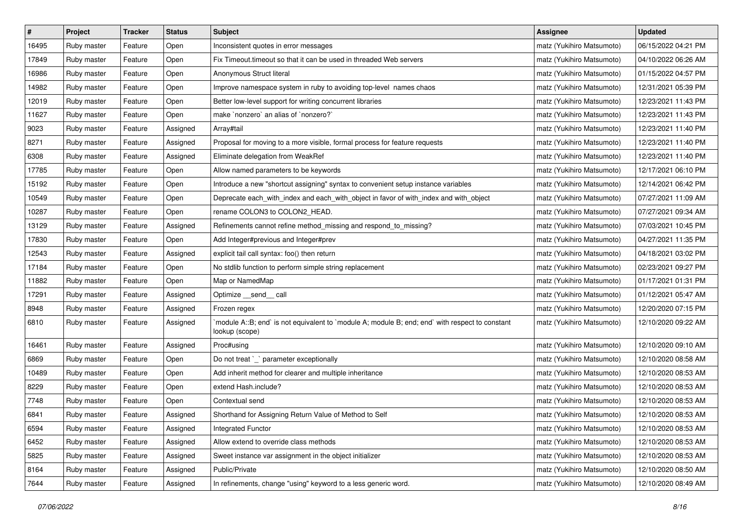| $\sharp$ | Project     | <b>Tracker</b> | <b>Status</b> | <b>Subject</b>                                                                                                   | <b>Assignee</b>           | <b>Updated</b>      |
|----------|-------------|----------------|---------------|------------------------------------------------------------------------------------------------------------------|---------------------------|---------------------|
| 16495    | Ruby master | Feature        | Open          | Inconsistent quotes in error messages                                                                            | matz (Yukihiro Matsumoto) | 06/15/2022 04:21 PM |
| 17849    | Ruby master | Feature        | Open          | Fix Timeout timeout so that it can be used in threaded Web servers                                               | matz (Yukihiro Matsumoto) | 04/10/2022 06:26 AM |
| 16986    | Ruby master | Feature        | Open          | Anonymous Struct literal                                                                                         | matz (Yukihiro Matsumoto) | 01/15/2022 04:57 PM |
| 14982    | Ruby master | Feature        | Open          | Improve namespace system in ruby to avoiding top-level names chaos                                               | matz (Yukihiro Matsumoto) | 12/31/2021 05:39 PM |
| 12019    | Ruby master | Feature        | Open          | Better low-level support for writing concurrent libraries                                                        | matz (Yukihiro Matsumoto) | 12/23/2021 11:43 PM |
| 11627    | Ruby master | Feature        | Open          | make 'nonzero' an alias of 'nonzero?'                                                                            | matz (Yukihiro Matsumoto) | 12/23/2021 11:43 PM |
| 9023     | Ruby master | Feature        | Assigned      | Array#tail                                                                                                       | matz (Yukihiro Matsumoto) | 12/23/2021 11:40 PM |
| 8271     | Ruby master | Feature        | Assigned      | Proposal for moving to a more visible, formal process for feature requests                                       | matz (Yukihiro Matsumoto) | 12/23/2021 11:40 PM |
| 6308     | Ruby master | Feature        | Assigned      | Eliminate delegation from WeakRef                                                                                | matz (Yukihiro Matsumoto) | 12/23/2021 11:40 PM |
| 17785    | Ruby master | Feature        | Open          | Allow named parameters to be keywords                                                                            | matz (Yukihiro Matsumoto) | 12/17/2021 06:10 PM |
| 15192    | Ruby master | Feature        | Open          | Introduce a new "shortcut assigning" syntax to convenient setup instance variables                               | matz (Yukihiro Matsumoto) | 12/14/2021 06:42 PM |
| 10549    | Ruby master | Feature        | Open          | Deprecate each_with_index and each_with_object in favor of with_index and with_object                            | matz (Yukihiro Matsumoto) | 07/27/2021 11:09 AM |
| 10287    | Ruby master | Feature        | Open          | rename COLON3 to COLON2_HEAD.                                                                                    | matz (Yukihiro Matsumoto) | 07/27/2021 09:34 AM |
| 13129    | Ruby master | Feature        | Assigned      | Refinements cannot refine method_missing and respond_to_missing?                                                 | matz (Yukihiro Matsumoto) | 07/03/2021 10:45 PM |
| 17830    | Ruby master | Feature        | Open          | Add Integer#previous and Integer#prev                                                                            | matz (Yukihiro Matsumoto) | 04/27/2021 11:35 PM |
| 12543    | Ruby master | Feature        | Assigned      | explicit tail call syntax: foo() then return                                                                     | matz (Yukihiro Matsumoto) | 04/18/2021 03:02 PM |
| 17184    | Ruby master | Feature        | Open          | No stdlib function to perform simple string replacement                                                          | matz (Yukihiro Matsumoto) | 02/23/2021 09:27 PM |
| 11882    | Ruby master | Feature        | Open          | Map or NamedMap                                                                                                  | matz (Yukihiro Matsumoto) | 01/17/2021 01:31 PM |
| 17291    | Ruby master | Feature        | Assigned      | Optimize __send__ call                                                                                           | matz (Yukihiro Matsumoto) | 01/12/2021 05:47 AM |
| 8948     | Ruby master | Feature        | Assigned      | Frozen regex                                                                                                     | matz (Yukihiro Matsumoto) | 12/20/2020 07:15 PM |
| 6810     | Ruby master | Feature        | Assigned      | module A::B; end` is not equivalent to `module A; module B; end; end` with respect to constant<br>lookup (scope) | matz (Yukihiro Matsumoto) | 12/10/2020 09:22 AM |
| 16461    | Ruby master | Feature        | Assigned      | Proc#using                                                                                                       | matz (Yukihiro Matsumoto) | 12/10/2020 09:10 AM |
| 6869     | Ruby master | Feature        | Open          | Do not treat `_` parameter exceptionally                                                                         | matz (Yukihiro Matsumoto) | 12/10/2020 08:58 AM |
| 10489    | Ruby master | Feature        | Open          | Add inherit method for clearer and multiple inheritance                                                          | matz (Yukihiro Matsumoto) | 12/10/2020 08:53 AM |
| 8229     | Ruby master | Feature        | Open          | extend Hash.include?                                                                                             | matz (Yukihiro Matsumoto) | 12/10/2020 08:53 AM |
| 7748     | Ruby master | Feature        | Open          | Contextual send                                                                                                  | matz (Yukihiro Matsumoto) | 12/10/2020 08:53 AM |
| 6841     | Ruby master | Feature        | Assigned      | Shorthand for Assigning Return Value of Method to Self                                                           | matz (Yukihiro Matsumoto) | 12/10/2020 08:53 AM |
| 6594     | Ruby master | Feature        | Assigned      | <b>Integrated Functor</b>                                                                                        | matz (Yukihiro Matsumoto) | 12/10/2020 08:53 AM |
| 6452     | Ruby master | Feature        | Assigned      | Allow extend to override class methods                                                                           | matz (Yukihiro Matsumoto) | 12/10/2020 08:53 AM |
| 5825     | Ruby master | Feature        | Assigned      | Sweet instance var assignment in the object initializer                                                          | matz (Yukihiro Matsumoto) | 12/10/2020 08:53 AM |
| 8164     | Ruby master | Feature        | Assigned      | Public/Private                                                                                                   | matz (Yukihiro Matsumoto) | 12/10/2020 08:50 AM |
| 7644     | Ruby master | Feature        | Assigned      | In refinements, change "using" keyword to a less generic word.                                                   | matz (Yukihiro Matsumoto) | 12/10/2020 08:49 AM |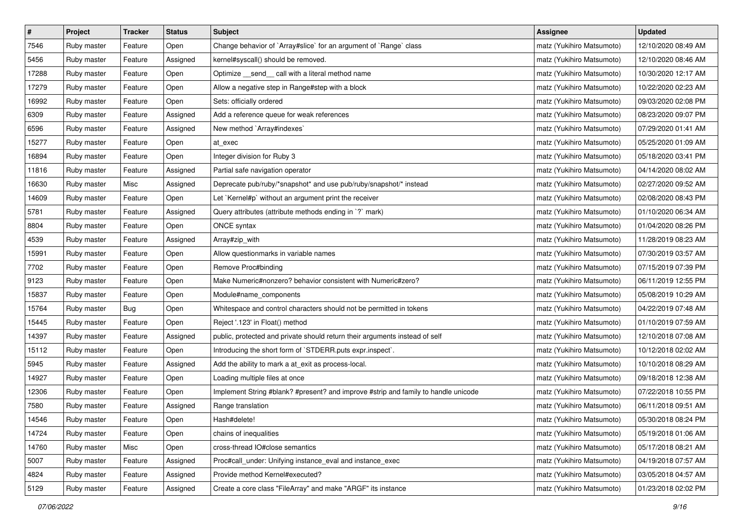| $\pmb{\#}$ | Project     | <b>Tracker</b> | <b>Status</b> | <b>Subject</b>                                                                     | <b>Assignee</b>           | <b>Updated</b>      |
|------------|-------------|----------------|---------------|------------------------------------------------------------------------------------|---------------------------|---------------------|
| 7546       | Ruby master | Feature        | Open          | Change behavior of `Array#slice` for an argument of `Range` class                  | matz (Yukihiro Matsumoto) | 12/10/2020 08:49 AM |
| 5456       | Ruby master | Feature        | Assigned      | kernel#syscall() should be removed.                                                | matz (Yukihiro Matsumoto) | 12/10/2020 08:46 AM |
| 17288      | Ruby master | Feature        | Open          | Optimize _send_ call with a literal method name                                    | matz (Yukihiro Matsumoto) | 10/30/2020 12:17 AM |
| 17279      | Ruby master | Feature        | Open          | Allow a negative step in Range#step with a block                                   | matz (Yukihiro Matsumoto) | 10/22/2020 02:23 AM |
| 16992      | Ruby master | Feature        | Open          | Sets: officially ordered                                                           | matz (Yukihiro Matsumoto) | 09/03/2020 02:08 PM |
| 6309       | Ruby master | Feature        | Assigned      | Add a reference queue for weak references                                          | matz (Yukihiro Matsumoto) | 08/23/2020 09:07 PM |
| 6596       | Ruby master | Feature        | Assigned      | New method `Array#indexes`                                                         | matz (Yukihiro Matsumoto) | 07/29/2020 01:41 AM |
| 15277      | Ruby master | Feature        | Open          | at exec                                                                            | matz (Yukihiro Matsumoto) | 05/25/2020 01:09 AM |
| 16894      | Ruby master | Feature        | Open          | Integer division for Ruby 3                                                        | matz (Yukihiro Matsumoto) | 05/18/2020 03:41 PM |
| 11816      | Ruby master | Feature        | Assigned      | Partial safe navigation operator                                                   | matz (Yukihiro Matsumoto) | 04/14/2020 08:02 AM |
| 16630      | Ruby master | Misc           | Assigned      | Deprecate pub/ruby/*snapshot* and use pub/ruby/snapshot/* instead                  | matz (Yukihiro Matsumoto) | 02/27/2020 09:52 AM |
| 14609      | Ruby master | Feature        | Open          | Let `Kernel#p` without an argument print the receiver                              | matz (Yukihiro Matsumoto) | 02/08/2020 08:43 PM |
| 5781       | Ruby master | Feature        | Assigned      | Query attributes (attribute methods ending in `?` mark)                            | matz (Yukihiro Matsumoto) | 01/10/2020 06:34 AM |
| 8804       | Ruby master | Feature        | Open          | ONCE syntax                                                                        | matz (Yukihiro Matsumoto) | 01/04/2020 08:26 PM |
| 4539       | Ruby master | Feature        | Assigned      | Array#zip_with                                                                     | matz (Yukihiro Matsumoto) | 11/28/2019 08:23 AM |
| 15991      | Ruby master | Feature        | Open          | Allow questionmarks in variable names                                              | matz (Yukihiro Matsumoto) | 07/30/2019 03:57 AM |
| 7702       | Ruby master | Feature        | Open          | Remove Proc#binding                                                                | matz (Yukihiro Matsumoto) | 07/15/2019 07:39 PM |
| 9123       | Ruby master | Feature        | Open          | Make Numeric#nonzero? behavior consistent with Numeric#zero?                       | matz (Yukihiro Matsumoto) | 06/11/2019 12:55 PM |
| 15837      | Ruby master | Feature        | Open          | Module#name_components                                                             | matz (Yukihiro Matsumoto) | 05/08/2019 10:29 AM |
| 15764      | Ruby master | Bug            | Open          | Whitespace and control characters should not be permitted in tokens                | matz (Yukihiro Matsumoto) | 04/22/2019 07:48 AM |
| 15445      | Ruby master | Feature        | Open          | Reject '.123' in Float() method                                                    | matz (Yukihiro Matsumoto) | 01/10/2019 07:59 AM |
| 14397      | Ruby master | Feature        | Assigned      | public, protected and private should return their arguments instead of self        | matz (Yukihiro Matsumoto) | 12/10/2018 07:08 AM |
| 15112      | Ruby master | Feature        | Open          | Introducing the short form of `STDERR.puts expr.inspect`.                          | matz (Yukihiro Matsumoto) | 10/12/2018 02:02 AM |
| 5945       | Ruby master | Feature        | Assigned      | Add the ability to mark a at_exit as process-local.                                | matz (Yukihiro Matsumoto) | 10/10/2018 08:29 AM |
| 14927      | Ruby master | Feature        | Open          | Loading multiple files at once                                                     | matz (Yukihiro Matsumoto) | 09/18/2018 12:38 AM |
| 12306      | Ruby master | Feature        | Open          | Implement String #blank? #present? and improve #strip and family to handle unicode | matz (Yukihiro Matsumoto) | 07/22/2018 10:55 PM |
| 7580       | Ruby master | Feature        | Assigned      | Range translation                                                                  | matz (Yukihiro Matsumoto) | 06/11/2018 09:51 AM |
| 14546      | Ruby master | Feature        | Open          | Hash#delete!                                                                       | matz (Yukihiro Matsumoto) | 05/30/2018 08:24 PM |
| 14724      | Ruby master | Feature        | Open          | chains of inequalities                                                             | matz (Yukihiro Matsumoto) | 05/19/2018 01:06 AM |
| 14760      | Ruby master | Misc           | Open          | cross-thread IO#close semantics                                                    | matz (Yukihiro Matsumoto) | 05/17/2018 08:21 AM |
| 5007       | Ruby master | Feature        | Assigned      | Proc#call_under: Unifying instance_eval and instance_exec                          | matz (Yukihiro Matsumoto) | 04/19/2018 07:57 AM |
| 4824       | Ruby master | Feature        | Assigned      | Provide method Kernel#executed?                                                    | matz (Yukihiro Matsumoto) | 03/05/2018 04:57 AM |
| 5129       | Ruby master | Feature        | Assigned      | Create a core class "FileArray" and make "ARGF" its instance                       | matz (Yukihiro Matsumoto) | 01/23/2018 02:02 PM |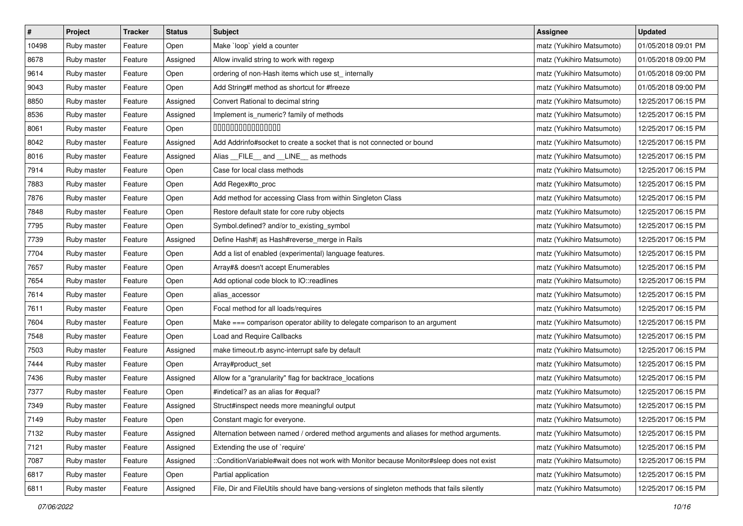| $\vert$ # | Project     | <b>Tracker</b> | <b>Status</b> | <b>Subject</b>                                                                             | Assignee                  | <b>Updated</b>      |
|-----------|-------------|----------------|---------------|--------------------------------------------------------------------------------------------|---------------------------|---------------------|
| 10498     | Ruby master | Feature        | Open          | Make `loop` yield a counter                                                                | matz (Yukihiro Matsumoto) | 01/05/2018 09:01 PM |
| 8678      | Ruby master | Feature        | Assigned      | Allow invalid string to work with regexp                                                   | matz (Yukihiro Matsumoto) | 01/05/2018 09:00 PM |
| 9614      | Ruby master | Feature        | Open          | ordering of non-Hash items which use st_ internally                                        | matz (Yukihiro Matsumoto) | 01/05/2018 09:00 PM |
| 9043      | Ruby master | Feature        | Open          | Add String#f method as shortcut for #freeze                                                | matz (Yukihiro Matsumoto) | 01/05/2018 09:00 PM |
| 8850      | Ruby master | Feature        | Assigned      | Convert Rational to decimal string                                                         | matz (Yukihiro Matsumoto) | 12/25/2017 06:15 PM |
| 8536      | Ruby master | Feature        | Assigned      | Implement is_numeric? family of methods                                                    | matz (Yukihiro Matsumoto) | 12/25/2017 06:15 PM |
| 8061      | Ruby master | Feature        | Open          | 000000000000000                                                                            | matz (Yukihiro Matsumoto) | 12/25/2017 06:15 PM |
| 8042      | Ruby master | Feature        | Assigned      | Add Addrinfo#socket to create a socket that is not connected or bound                      | matz (Yukihiro Matsumoto) | 12/25/2017 06:15 PM |
| 8016      | Ruby master | Feature        | Assigned      | Alias __FILE__ and __LINE__ as methods                                                     | matz (Yukihiro Matsumoto) | 12/25/2017 06:15 PM |
| 7914      | Ruby master | Feature        | Open          | Case for local class methods                                                               | matz (Yukihiro Matsumoto) | 12/25/2017 06:15 PM |
| 7883      | Ruby master | Feature        | Open          | Add Regex#to_proc                                                                          | matz (Yukihiro Matsumoto) | 12/25/2017 06:15 PM |
| 7876      | Ruby master | Feature        | Open          | Add method for accessing Class from within Singleton Class                                 | matz (Yukihiro Matsumoto) | 12/25/2017 06:15 PM |
| 7848      | Ruby master | Feature        | Open          | Restore default state for core ruby objects                                                | matz (Yukihiro Matsumoto) | 12/25/2017 06:15 PM |
| 7795      | Ruby master | Feature        | Open          | Symbol.defined? and/or to_existing_symbol                                                  | matz (Yukihiro Matsumoto) | 12/25/2017 06:15 PM |
| 7739      | Ruby master | Feature        | Assigned      | Define Hash#  as Hash#reverse_merge in Rails                                               | matz (Yukihiro Matsumoto) | 12/25/2017 06:15 PM |
| 7704      | Ruby master | Feature        | Open          | Add a list of enabled (experimental) language features.                                    | matz (Yukihiro Matsumoto) | 12/25/2017 06:15 PM |
| 7657      | Ruby master | Feature        | Open          | Array#& doesn't accept Enumerables                                                         | matz (Yukihiro Matsumoto) | 12/25/2017 06:15 PM |
| 7654      | Ruby master | Feature        | Open          | Add optional code block to IO::readlines                                                   | matz (Yukihiro Matsumoto) | 12/25/2017 06:15 PM |
| 7614      | Ruby master | Feature        | Open          | alias_accessor                                                                             | matz (Yukihiro Matsumoto) | 12/25/2017 06:15 PM |
| 7611      | Ruby master | Feature        | Open          | Focal method for all loads/requires                                                        | matz (Yukihiro Matsumoto) | 12/25/2017 06:15 PM |
| 7604      | Ruby master | Feature        | Open          | Make === comparison operator ability to delegate comparison to an argument                 | matz (Yukihiro Matsumoto) | 12/25/2017 06:15 PM |
| 7548      | Ruby master | Feature        | Open          | Load and Require Callbacks                                                                 | matz (Yukihiro Matsumoto) | 12/25/2017 06:15 PM |
| 7503      | Ruby master | Feature        | Assigned      | make timeout.rb async-interrupt safe by default                                            | matz (Yukihiro Matsumoto) | 12/25/2017 06:15 PM |
| 7444      | Ruby master | Feature        | Open          | Array#product_set                                                                          | matz (Yukihiro Matsumoto) | 12/25/2017 06:15 PM |
| 7436      | Ruby master | Feature        | Assigned      | Allow for a "granularity" flag for backtrace_locations                                     | matz (Yukihiro Matsumoto) | 12/25/2017 06:15 PM |
| 7377      | Ruby master | Feature        | Open          | #indetical? as an alias for #equal?                                                        | matz (Yukihiro Matsumoto) | 12/25/2017 06:15 PM |
| 7349      | Ruby master | Feature        | Assigned      | Struct#inspect needs more meaningful output                                                | matz (Yukihiro Matsumoto) | 12/25/2017 06:15 PM |
| 7149      | Ruby master | Feature        | Open          | Constant magic for everyone.                                                               | matz (Yukihiro Matsumoto) | 12/25/2017 06:15 PM |
| 7132      | Ruby master | Feature        | Assigned      | Alternation between named / ordered method arguments and aliases for method arguments.     | matz (Yukihiro Matsumoto) | 12/25/2017 06:15 PM |
| 7121      | Ruby master | Feature        | Assigned      | Extending the use of `require'                                                             | matz (Yukihiro Matsumoto) | 12/25/2017 06:15 PM |
| 7087      | Ruby master | Feature        | Assigned      | ::ConditionVariable#wait does not work with Monitor because Monitor#sleep does not exist   | matz (Yukihiro Matsumoto) | 12/25/2017 06:15 PM |
| 6817      | Ruby master | Feature        | Open          | Partial application                                                                        | matz (Yukihiro Matsumoto) | 12/25/2017 06:15 PM |
| 6811      | Ruby master | Feature        | Assigned      | File, Dir and FileUtils should have bang-versions of singleton methods that fails silently | matz (Yukihiro Matsumoto) | 12/25/2017 06:15 PM |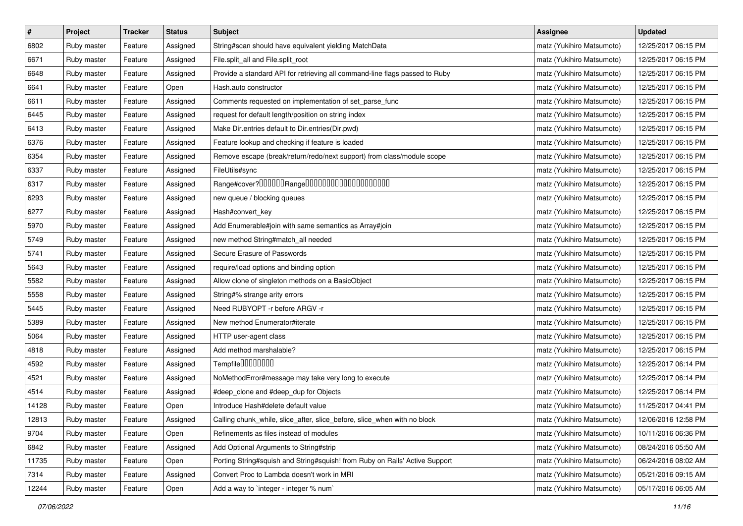| $\pmb{\#}$ | Project     | <b>Tracker</b> | <b>Status</b> | Subject                                                                     | <b>Assignee</b>           | <b>Updated</b>      |
|------------|-------------|----------------|---------------|-----------------------------------------------------------------------------|---------------------------|---------------------|
| 6802       | Ruby master | Feature        | Assigned      | String#scan should have equivalent yielding MatchData                       | matz (Yukihiro Matsumoto) | 12/25/2017 06:15 PM |
| 6671       | Ruby master | Feature        | Assigned      | File.split_all and File.split_root                                          | matz (Yukihiro Matsumoto) | 12/25/2017 06:15 PM |
| 6648       | Ruby master | Feature        | Assigned      | Provide a standard API for retrieving all command-line flags passed to Ruby | matz (Yukihiro Matsumoto) | 12/25/2017 06:15 PM |
| 6641       | Ruby master | Feature        | Open          | Hash.auto constructor                                                       | matz (Yukihiro Matsumoto) | 12/25/2017 06:15 PM |
| 6611       | Ruby master | Feature        | Assigned      | Comments requested on implementation of set_parse_func                      | matz (Yukihiro Matsumoto) | 12/25/2017 06:15 PM |
| 6445       | Ruby master | Feature        | Assigned      | request for default length/position on string index                         | matz (Yukihiro Matsumoto) | 12/25/2017 06:15 PM |
| 6413       | Ruby master | Feature        | Assigned      | Make Dir.entries default to Dir.entries(Dir.pwd)                            | matz (Yukihiro Matsumoto) | 12/25/2017 06:15 PM |
| 6376       | Ruby master | Feature        | Assigned      | Feature lookup and checking if feature is loaded                            | matz (Yukihiro Matsumoto) | 12/25/2017 06:15 PM |
| 6354       | Ruby master | Feature        | Assigned      | Remove escape (break/return/redo/next support) from class/module scope      | matz (Yukihiro Matsumoto) | 12/25/2017 06:15 PM |
| 6337       | Ruby master | Feature        | Assigned      | FileUtils#sync                                                              | matz (Yukihiro Matsumoto) | 12/25/2017 06:15 PM |
| 6317       | Ruby master | Feature        | Assigned      | Range#cover?000000Range00000000000000000000                                 | matz (Yukihiro Matsumoto) | 12/25/2017 06:15 PM |
| 6293       | Ruby master | Feature        | Assigned      | new queue / blocking queues                                                 | matz (Yukihiro Matsumoto) | 12/25/2017 06:15 PM |
| 6277       | Ruby master | Feature        | Assigned      | Hash#convert_key                                                            | matz (Yukihiro Matsumoto) | 12/25/2017 06:15 PM |
| 5970       | Ruby master | Feature        | Assigned      | Add Enumerable#join with same semantics as Array#join                       | matz (Yukihiro Matsumoto) | 12/25/2017 06:15 PM |
| 5749       | Ruby master | Feature        | Assigned      | new method String#match_all needed                                          | matz (Yukihiro Matsumoto) | 12/25/2017 06:15 PM |
| 5741       | Ruby master | Feature        | Assigned      | Secure Erasure of Passwords                                                 | matz (Yukihiro Matsumoto) | 12/25/2017 06:15 PM |
| 5643       | Ruby master | Feature        | Assigned      | require/load options and binding option                                     | matz (Yukihiro Matsumoto) | 12/25/2017 06:15 PM |
| 5582       | Ruby master | Feature        | Assigned      | Allow clone of singleton methods on a BasicObject                           | matz (Yukihiro Matsumoto) | 12/25/2017 06:15 PM |
| 5558       | Ruby master | Feature        | Assigned      | String#% strange arity errors                                               | matz (Yukihiro Matsumoto) | 12/25/2017 06:15 PM |
| 5445       | Ruby master | Feature        | Assigned      | Need RUBYOPT -r before ARGV -r                                              | matz (Yukihiro Matsumoto) | 12/25/2017 06:15 PM |
| 5389       | Ruby master | Feature        | Assigned      | New method Enumerator#iterate                                               | matz (Yukihiro Matsumoto) | 12/25/2017 06:15 PM |
| 5064       | Ruby master | Feature        | Assigned      | HTTP user-agent class                                                       | matz (Yukihiro Matsumoto) | 12/25/2017 06:15 PM |
| 4818       | Ruby master | Feature        | Assigned      | Add method marshalable?                                                     | matz (Yukihiro Matsumoto) | 12/25/2017 06:15 PM |
| 4592       | Ruby master | Feature        | Assigned      | Tempfile0000000                                                             | matz (Yukihiro Matsumoto) | 12/25/2017 06:14 PM |
| 4521       | Ruby master | Feature        | Assigned      | NoMethodError#message may take very long to execute                         | matz (Yukihiro Matsumoto) | 12/25/2017 06:14 PM |
| 4514       | Ruby master | Feature        | Assigned      | #deep_clone and #deep_dup for Objects                                       | matz (Yukihiro Matsumoto) | 12/25/2017 06:14 PM |
| 14128      | Ruby master | Feature        | Open          | Introduce Hash#delete default value                                         | matz (Yukihiro Matsumoto) | 11/25/2017 04:41 PM |
| 12813      | Ruby master | Feature        | Assigned      | Calling chunk_while, slice_after, slice_before, slice_when with no block    | matz (Yukihiro Matsumoto) | 12/06/2016 12:58 PM |
| 9704       | Ruby master | Feature        | Open          | Refinements as files instead of modules                                     | matz (Yukihiro Matsumoto) | 10/11/2016 06:36 PM |
| 6842       | Ruby master | Feature        | Assigned      | Add Optional Arguments to String#strip                                      | matz (Yukihiro Matsumoto) | 08/24/2016 05:50 AM |
| 11735      | Ruby master | Feature        | Open          | Porting String#squish and String#squish! from Ruby on Rails' Active Support | matz (Yukihiro Matsumoto) | 06/24/2016 08:02 AM |
| 7314       | Ruby master | Feature        | Assigned      | Convert Proc to Lambda doesn't work in MRI                                  | matz (Yukihiro Matsumoto) | 05/21/2016 09:15 AM |
| 12244      | Ruby master | Feature        | Open          | Add a way to 'integer - integer % num'                                      | matz (Yukihiro Matsumoto) | 05/17/2016 06:05 AM |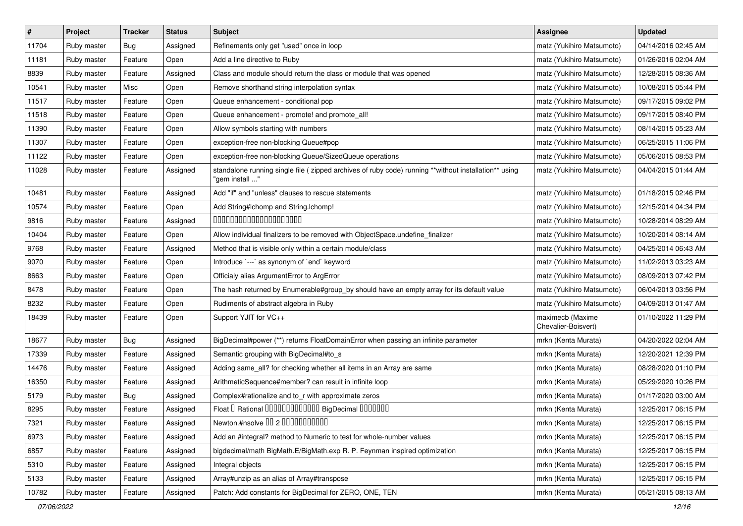| $\sharp$ | Project     | <b>Tracker</b> | <b>Status</b> | Subject                                                                                                                | <b>Assignee</b>                         | <b>Updated</b>      |
|----------|-------------|----------------|---------------|------------------------------------------------------------------------------------------------------------------------|-----------------------------------------|---------------------|
| 11704    | Ruby master | <b>Bug</b>     | Assigned      | Refinements only get "used" once in loop                                                                               | matz (Yukihiro Matsumoto)               | 04/14/2016 02:45 AM |
| 11181    | Ruby master | Feature        | Open          | Add a line directive to Ruby                                                                                           | matz (Yukihiro Matsumoto)               | 01/26/2016 02:04 AM |
| 8839     | Ruby master | Feature        | Assigned      | Class and module should return the class or module that was opened                                                     | matz (Yukihiro Matsumoto)               | 12/28/2015 08:36 AM |
| 10541    | Ruby master | Misc           | Open          | Remove shorthand string interpolation syntax                                                                           | matz (Yukihiro Matsumoto)               | 10/08/2015 05:44 PM |
| 11517    | Ruby master | Feature        | Open          | Queue enhancement - conditional pop                                                                                    | matz (Yukihiro Matsumoto)               | 09/17/2015 09:02 PM |
| 11518    | Ruby master | Feature        | Open          | Queue enhancement - promote! and promote all!                                                                          | matz (Yukihiro Matsumoto)               | 09/17/2015 08:40 PM |
| 11390    | Ruby master | Feature        | Open          | Allow symbols starting with numbers                                                                                    | matz (Yukihiro Matsumoto)               | 08/14/2015 05:23 AM |
| 11307    | Ruby master | Feature        | Open          | exception-free non-blocking Queue#pop                                                                                  | matz (Yukihiro Matsumoto)               | 06/25/2015 11:06 PM |
| 11122    | Ruby master | Feature        | Open          | exception-free non-blocking Queue/SizedQueue operations                                                                | matz (Yukihiro Matsumoto)               | 05/06/2015 08:53 PM |
| 11028    | Ruby master | Feature        | Assigned      | standalone running single file (zipped archives of ruby code) running **without installation** using<br>"gem install " | matz (Yukihiro Matsumoto)               | 04/04/2015 01:44 AM |
| 10481    | Ruby master | Feature        | Assigned      | Add "if" and "unless" clauses to rescue statements                                                                     | matz (Yukihiro Matsumoto)               | 01/18/2015 02:46 PM |
| 10574    | Ruby master | Feature        | Open          | Add String#Ichomp and String.Ichomp!                                                                                   | matz (Yukihiro Matsumoto)               | 12/15/2014 04:34 PM |
| 9816     | Ruby master | Feature        | Assigned      | 00000000000000000000                                                                                                   | matz (Yukihiro Matsumoto)               | 10/28/2014 08:29 AM |
| 10404    | Ruby master | Feature        | Open          | Allow individual finalizers to be removed with ObjectSpace.undefine_finalizer                                          | matz (Yukihiro Matsumoto)               | 10/20/2014 08:14 AM |
| 9768     | Ruby master | Feature        | Assigned      | Method that is visible only within a certain module/class                                                              | matz (Yukihiro Matsumoto)               | 04/25/2014 06:43 AM |
| 9070     | Ruby master | Feature        | Open          | Introduce `---` as synonym of `end` keyword                                                                            | matz (Yukihiro Matsumoto)               | 11/02/2013 03:23 AM |
| 8663     | Ruby master | Feature        | Open          | Officialy alias ArgumentError to ArgError                                                                              | matz (Yukihiro Matsumoto)               | 08/09/2013 07:42 PM |
| 8478     | Ruby master | Feature        | Open          | The hash returned by Enumerable#group_by should have an empty array for its default value                              | matz (Yukihiro Matsumoto)               | 06/04/2013 03:56 PM |
| 8232     | Ruby master | Feature        | Open          | Rudiments of abstract algebra in Ruby                                                                                  | matz (Yukihiro Matsumoto)               | 04/09/2013 01:47 AM |
| 18439    | Ruby master | Feature        | Open          | Support YJIT for VC++                                                                                                  | maximecb (Maxime<br>Chevalier-Boisvert) | 01/10/2022 11:29 PM |
| 18677    | Ruby master | Bug            | Assigned      | BigDecimal#power (**) returns FloatDomainError when passing an infinite parameter                                      | mrkn (Kenta Murata)                     | 04/20/2022 02:04 AM |
| 17339    | Ruby master | Feature        | Assigned      | Semantic grouping with BigDecimal#to_s                                                                                 | mrkn (Kenta Murata)                     | 12/20/2021 12:39 PM |
| 14476    | Ruby master | Feature        | Assigned      | Adding same_all? for checking whether all items in an Array are same                                                   | mrkn (Kenta Murata)                     | 08/28/2020 01:10 PM |
| 16350    | Ruby master | Feature        | Assigned      | ArithmeticSequence#member? can result in infinite loop                                                                 | mrkn (Kenta Murata)                     | 05/29/2020 10:26 PM |
| 5179     | Ruby master | Bug            | Assigned      | Complex#rationalize and to_r with approximate zeros                                                                    | mrkn (Kenta Murata)                     | 01/17/2020 03:00 AM |
| 8295     | Ruby master | Feature        | Assigned      | Float I Rational 0000000000000 BigDecimal 0000000                                                                      | mrkn (Kenta Murata)                     | 12/25/2017 06:15 PM |
| 7321     | Ruby master | Feature        | Assigned      | Newton.#nsolve 00 2 00000000000                                                                                        | mrkn (Kenta Murata)                     | 12/25/2017 06:15 PM |
| 6973     | Ruby master | Feature        | Assigned      | Add an #integral? method to Numeric to test for whole-number values                                                    | mrkn (Kenta Murata)                     | 12/25/2017 06:15 PM |
| 6857     | Ruby master | Feature        | Assigned      | bigdecimal/math BigMath.E/BigMath.exp R. P. Feynman inspired optimization                                              | mrkn (Kenta Murata)                     | 12/25/2017 06:15 PM |
| 5310     | Ruby master | Feature        | Assigned      | Integral objects                                                                                                       | mrkn (Kenta Murata)                     | 12/25/2017 06:15 PM |
| 5133     | Ruby master | Feature        | Assigned      | Array#unzip as an alias of Array#transpose                                                                             | mrkn (Kenta Murata)                     | 12/25/2017 06:15 PM |
| 10782    | Ruby master | Feature        | Assigned      | Patch: Add constants for BigDecimal for ZERO, ONE, TEN                                                                 | mrkn (Kenta Murata)                     | 05/21/2015 08:13 AM |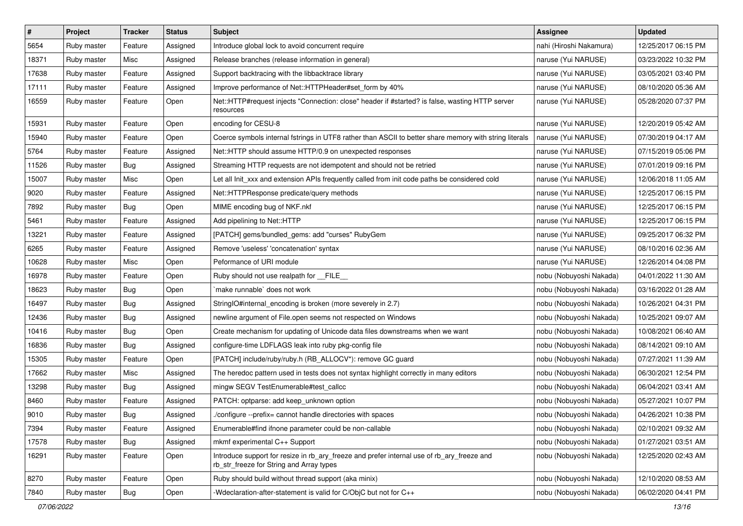| $\vert$ # | Project     | <b>Tracker</b> | <b>Status</b> | Subject                                                                                                                                | Assignee                | <b>Updated</b>      |
|-----------|-------------|----------------|---------------|----------------------------------------------------------------------------------------------------------------------------------------|-------------------------|---------------------|
| 5654      | Ruby master | Feature        | Assigned      | Introduce global lock to avoid concurrent require                                                                                      | nahi (Hiroshi Nakamura) | 12/25/2017 06:15 PM |
| 18371     | Ruby master | Misc           | Assigned      | Release branches (release information in general)                                                                                      | naruse (Yui NARUSE)     | 03/23/2022 10:32 PM |
| 17638     | Ruby master | Feature        | Assigned      | Support backtracing with the libbacktrace library                                                                                      | naruse (Yui NARUSE)     | 03/05/2021 03:40 PM |
| 17111     | Ruby master | Feature        | Assigned      | Improve performance of Net::HTTPHeader#set_form by 40%                                                                                 | naruse (Yui NARUSE)     | 08/10/2020 05:36 AM |
| 16559     | Ruby master | Feature        | Open          | Net::HTTP#request injects "Connection: close" header if #started? is false, wasting HTTP server<br>resources                           | naruse (Yui NARUSE)     | 05/28/2020 07:37 PM |
| 15931     | Ruby master | Feature        | Open          | encoding for CESU-8                                                                                                                    | naruse (Yui NARUSE)     | 12/20/2019 05:42 AM |
| 15940     | Ruby master | Feature        | Open          | Coerce symbols internal fstrings in UTF8 rather than ASCII to better share memory with string literals                                 | naruse (Yui NARUSE)     | 07/30/2019 04:17 AM |
| 5764      | Ruby master | Feature        | Assigned      | Net::HTTP should assume HTTP/0.9 on unexpected responses                                                                               | naruse (Yui NARUSE)     | 07/15/2019 05:06 PM |
| 11526     | Ruby master | Bug            | Assigned      | Streaming HTTP requests are not idempotent and should not be retried                                                                   | naruse (Yui NARUSE)     | 07/01/2019 09:16 PM |
| 15007     | Ruby master | Misc           | Open          | Let all Init_xxx and extension APIs frequently called from init code paths be considered cold                                          | naruse (Yui NARUSE)     | 12/06/2018 11:05 AM |
| 9020      | Ruby master | Feature        | Assigned      | Net::HTTPResponse predicate/query methods                                                                                              | naruse (Yui NARUSE)     | 12/25/2017 06:15 PM |
| 7892      | Ruby master | Bug            | Open          | MIME encoding bug of NKF.nkf                                                                                                           | naruse (Yui NARUSE)     | 12/25/2017 06:15 PM |
| 5461      | Ruby master | Feature        | Assigned      | Add pipelining to Net::HTTP                                                                                                            | naruse (Yui NARUSE)     | 12/25/2017 06:15 PM |
| 13221     | Ruby master | Feature        | Assigned      | [PATCH] gems/bundled_gems: add "curses" RubyGem                                                                                        | naruse (Yui NARUSE)     | 09/25/2017 06:32 PM |
| 6265      | Ruby master | Feature        | Assigned      | Remove 'useless' 'concatenation' syntax                                                                                                | naruse (Yui NARUSE)     | 08/10/2016 02:36 AM |
| 10628     | Ruby master | Misc           | Open          | Peformance of URI module                                                                                                               | naruse (Yui NARUSE)     | 12/26/2014 04:08 PM |
| 16978     | Ruby master | Feature        | Open          | Ruby should not use realpath for __FILE_                                                                                               | nobu (Nobuyoshi Nakada) | 04/01/2022 11:30 AM |
| 18623     | Ruby master | Bug            | Open          | `make runnable` does not work                                                                                                          | nobu (Nobuyoshi Nakada) | 03/16/2022 01:28 AM |
| 16497     | Ruby master | Bug            | Assigned      | StringIO#internal_encoding is broken (more severely in 2.7)                                                                            | nobu (Nobuyoshi Nakada) | 10/26/2021 04:31 PM |
| 12436     | Ruby master | Bug            | Assigned      | newline argument of File.open seems not respected on Windows                                                                           | nobu (Nobuyoshi Nakada) | 10/25/2021 09:07 AM |
| 10416     | Ruby master | Bug            | Open          | Create mechanism for updating of Unicode data files downstreams when we want                                                           | nobu (Nobuyoshi Nakada) | 10/08/2021 06:40 AM |
| 16836     | Ruby master | Bug            | Assigned      | configure-time LDFLAGS leak into ruby pkg-config file                                                                                  | nobu (Nobuyoshi Nakada) | 08/14/2021 09:10 AM |
| 15305     | Ruby master | Feature        | Open          | [PATCH] include/ruby/ruby.h (RB_ALLOCV*): remove GC guard                                                                              | nobu (Nobuyoshi Nakada) | 07/27/2021 11:39 AM |
| 17662     | Ruby master | Misc           | Assigned      | The heredoc pattern used in tests does not syntax highlight correctly in many editors                                                  | nobu (Nobuyoshi Nakada) | 06/30/2021 12:54 PM |
| 13298     | Ruby master | Bug            | Assigned      | mingw SEGV TestEnumerable#test_callcc                                                                                                  | nobu (Nobuyoshi Nakada) | 06/04/2021 03:41 AM |
| 8460      | Ruby master | Feature        | Assigned      | PATCH: optparse: add keep unknown option                                                                                               | nobu (Nobuyoshi Nakada) | 05/27/2021 10:07 PM |
| 9010      | Ruby master | <b>Bug</b>     | Assigned      | /configure --prefix= cannot handle directories with spaces                                                                             | nobu (Nobuyoshi Nakada) | 04/26/2021 10:38 PM |
| 7394      | Ruby master | Feature        | Assigned      | Enumerable#find ifnone parameter could be non-callable                                                                                 | nobu (Nobuyoshi Nakada) | 02/10/2021 09:32 AM |
| 17578     | Ruby master | Bug            | Assigned      | mkmf experimental C++ Support                                                                                                          | nobu (Nobuyoshi Nakada) | 01/27/2021 03:51 AM |
| 16291     | Ruby master | Feature        | Open          | Introduce support for resize in rb_ary_freeze and prefer internal use of rb_ary_freeze and<br>rb_str_freeze for String and Array types | nobu (Nobuyoshi Nakada) | 12/25/2020 02:43 AM |
| 8270      | Ruby master | Feature        | Open          | Ruby should build without thread support (aka minix)                                                                                   | nobu (Nobuyoshi Nakada) | 12/10/2020 08:53 AM |
| 7840      | Ruby master | <b>Bug</b>     | Open          | -Wdeclaration-after-statement is valid for C/ObjC but not for C++                                                                      | nobu (Nobuyoshi Nakada) | 06/02/2020 04:41 PM |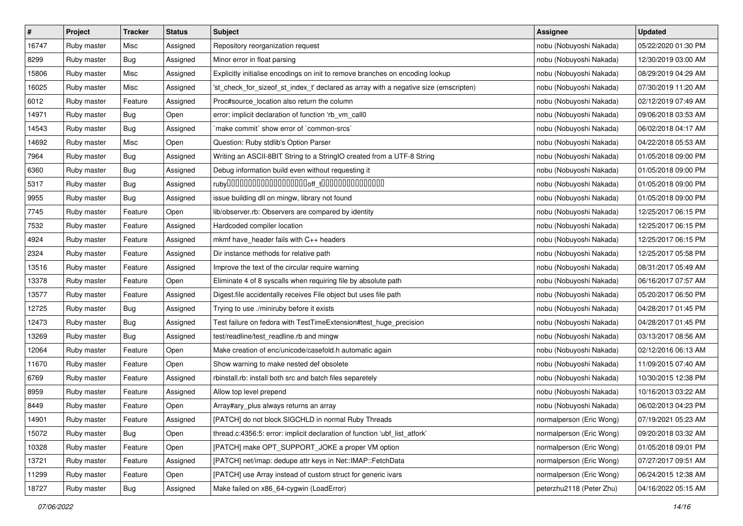| $\pmb{\#}$ | Project     | <b>Tracker</b> | <b>Status</b> | <b>Subject</b>                                                                       | <b>Assignee</b>          | <b>Updated</b>      |
|------------|-------------|----------------|---------------|--------------------------------------------------------------------------------------|--------------------------|---------------------|
| 16747      | Ruby master | Misc           | Assigned      | Repository reorganization request                                                    | nobu (Nobuyoshi Nakada)  | 05/22/2020 01:30 PM |
| 8299       | Ruby master | Bug            | Assigned      | Minor error in float parsing                                                         | nobu (Nobuyoshi Nakada)  | 12/30/2019 03:00 AM |
| 15806      | Ruby master | Misc           | Assigned      | Explicitly initialise encodings on init to remove branches on encoding lookup        | nobu (Nobuyoshi Nakada)  | 08/29/2019 04:29 AM |
| 16025      | Ruby master | Misc           | Assigned      | 'st_check_for_sizeof_st_index_t' declared as array with a negative size (emscripten) | nobu (Nobuyoshi Nakada)  | 07/30/2019 11:20 AM |
| 6012       | Ruby master | Feature        | Assigned      | Proc#source_location also return the column                                          | nobu (Nobuyoshi Nakada)  | 02/12/2019 07:49 AM |
| 14971      | Ruby master | Bug            | Open          | error: implicit declaration of function 'rb_vm_call0                                 | nobu (Nobuyoshi Nakada)  | 09/06/2018 03:53 AM |
| 14543      | Ruby master | Bug            | Assigned      | 'make commit' show error of 'common-srcs'                                            | nobu (Nobuyoshi Nakada)  | 06/02/2018 04:17 AM |
| 14692      | Ruby master | Misc           | Open          | Question: Ruby stdlib's Option Parser                                                | nobu (Nobuyoshi Nakada)  | 04/22/2018 05:53 AM |
| 7964       | Ruby master | <b>Bug</b>     | Assigned      | Writing an ASCII-8BIT String to a StringIO created from a UTF-8 String               | nobu (Nobuyoshi Nakada)  | 01/05/2018 09:00 PM |
| 6360       | Ruby master | Bug            | Assigned      | Debug information build even without requesting it                                   | nobu (Nobuyoshi Nakada)  | 01/05/2018 09:00 PM |
| 5317       | Ruby master | Bug            | Assigned      |                                                                                      | nobu (Nobuyoshi Nakada)  | 01/05/2018 09:00 PM |
| 9955       | Ruby master | Bug            | Assigned      | issue building dll on mingw, library not found                                       | nobu (Nobuyoshi Nakada)  | 01/05/2018 09:00 PM |
| 7745       | Ruby master | Feature        | Open          | lib/observer.rb: Observers are compared by identity                                  | nobu (Nobuyoshi Nakada)  | 12/25/2017 06:15 PM |
| 7532       | Ruby master | Feature        | Assigned      | Hardcoded compiler location                                                          | nobu (Nobuyoshi Nakada)  | 12/25/2017 06:15 PM |
| 4924       | Ruby master | Feature        | Assigned      | mkmf have_header fails with C++ headers                                              | nobu (Nobuyoshi Nakada)  | 12/25/2017 06:15 PM |
| 2324       | Ruby master | Feature        | Assigned      | Dir instance methods for relative path                                               | nobu (Nobuyoshi Nakada)  | 12/25/2017 05:58 PM |
| 13516      | Ruby master | Feature        | Assigned      | Improve the text of the circular require warning                                     | nobu (Nobuyoshi Nakada)  | 08/31/2017 05:49 AM |
| 13378      | Ruby master | Feature        | Open          | Eliminate 4 of 8 syscalls when requiring file by absolute path                       | nobu (Nobuyoshi Nakada)  | 06/16/2017 07:57 AM |
| 13577      | Ruby master | Feature        | Assigned      | Digest file accidentally receives File object but uses file path                     | nobu (Nobuyoshi Nakada)  | 05/20/2017 06:50 PM |
| 12725      | Ruby master | Bug            | Assigned      | Trying to use ./miniruby before it exists                                            | nobu (Nobuyoshi Nakada)  | 04/28/2017 01:45 PM |
| 12473      | Ruby master | Bug            | Assigned      | Test failure on fedora with TestTimeExtension#test_huge_precision                    | nobu (Nobuyoshi Nakada)  | 04/28/2017 01:45 PM |
| 13269      | Ruby master | <b>Bug</b>     | Assigned      | test/readline/test_readline.rb and mingw                                             | nobu (Nobuyoshi Nakada)  | 03/13/2017 08:56 AM |
| 12064      | Ruby master | Feature        | Open          | Make creation of enc/unicode/casefold.h automatic again                              | nobu (Nobuyoshi Nakada)  | 02/12/2016 06:13 AM |
| 11670      | Ruby master | Feature        | Open          | Show warning to make nested def obsolete                                             | nobu (Nobuyoshi Nakada)  | 11/09/2015 07:40 AM |
| 6769       | Ruby master | Feature        | Assigned      | rbinstall.rb: install both src and batch files separetely                            | nobu (Nobuyoshi Nakada)  | 10/30/2015 12:38 PM |
| 8959       | Ruby master | Feature        | Assigned      | Allow top level prepend                                                              | nobu (Nobuyoshi Nakada)  | 10/16/2013 03:22 AM |
| 8449       | Ruby master | Feature        | Open          | Array#ary_plus always returns an array                                               | nobu (Nobuyoshi Nakada)  | 06/02/2013 04:23 PM |
| 14901      | Ruby master | Feature        | Assigned      | [PATCH] do not block SIGCHLD in normal Ruby Threads                                  | normalperson (Eric Wong) | 07/19/2021 05:23 AM |
| 15072      | Ruby master | <b>Bug</b>     | Open          | thread.c:4356:5: error: implicit declaration of function 'ubf list atfork'           | normalperson (Eric Wong) | 09/20/2018 03:32 AM |
| 10328      | Ruby master | Feature        | Open          | [PATCH] make OPT_SUPPORT_JOKE a proper VM option                                     | normalperson (Eric Wong) | 01/05/2018 09:01 PM |
| 13721      | Ruby master | Feature        | Assigned      | [PATCH] net/imap: dedupe attr keys in Net::IMAP::FetchData                           | normalperson (Eric Wong) | 07/27/2017 09:51 AM |
| 11299      | Ruby master | Feature        | Open          | [PATCH] use Array instead of custom struct for generic ivars                         | normalperson (Eric Wong) | 06/24/2015 12:38 AM |
| 18727      | Ruby master | Bug            | Assigned      | Make failed on x86_64-cygwin (LoadError)                                             | peterzhu2118 (Peter Zhu) | 04/16/2022 05:15 AM |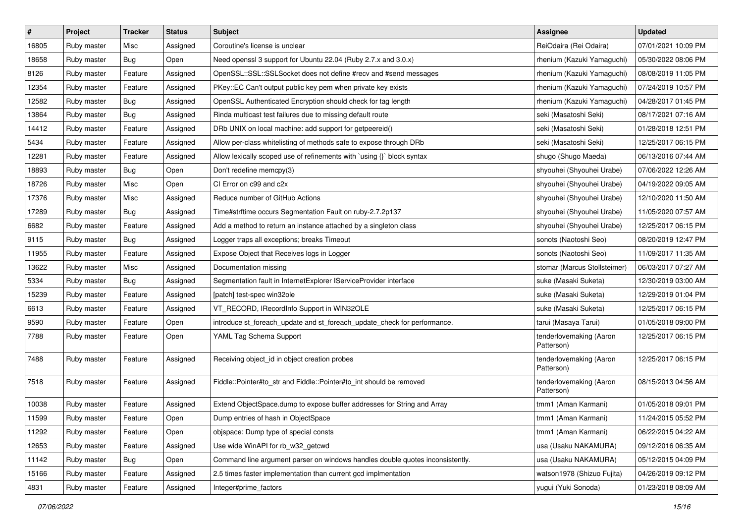| $\sharp$ | Project     | Tracker    | <b>Status</b> | <b>Subject</b>                                                                | <b>Assignee</b>                       | <b>Updated</b>      |
|----------|-------------|------------|---------------|-------------------------------------------------------------------------------|---------------------------------------|---------------------|
| 16805    | Ruby master | Misc       | Assigned      | Coroutine's license is unclear                                                | ReiOdaira (Rei Odaira)                | 07/01/2021 10:09 PM |
| 18658    | Ruby master | Bug        | Open          | Need openssl 3 support for Ubuntu 22.04 (Ruby 2.7.x and 3.0.x)                | rhenium (Kazuki Yamaguchi)            | 05/30/2022 08:06 PM |
| 8126     | Ruby master | Feature    | Assigned      | OpenSSL::SSL::SSLSocket does not define #recv and #send messages              | rhenium (Kazuki Yamaguchi)            | 08/08/2019 11:05 PM |
| 12354    | Ruby master | Feature    | Assigned      | PKey::EC Can't output public key pem when private key exists                  | rhenium (Kazuki Yamaguchi)            | 07/24/2019 10:57 PM |
| 12582    | Ruby master | <b>Bug</b> | Assigned      | OpenSSL Authenticated Encryption should check for tag length                  | rhenium (Kazuki Yamaguchi)            | 04/28/2017 01:45 PM |
| 13864    | Ruby master | <b>Bug</b> | Assigned      | Rinda multicast test failures due to missing default route                    | seki (Masatoshi Seki)                 | 08/17/2021 07:16 AM |
| 14412    | Ruby master | Feature    | Assigned      | DRb UNIX on local machine: add support for getpeereid()                       | seki (Masatoshi Seki)                 | 01/28/2018 12:51 PM |
| 5434     | Ruby master | Feature    | Assigned      | Allow per-class whitelisting of methods safe to expose through DRb            | seki (Masatoshi Seki)                 | 12/25/2017 06:15 PM |
| 12281    | Ruby master | Feature    | Assigned      | Allow lexically scoped use of refinements with `using {}` block syntax        | shugo (Shugo Maeda)                   | 06/13/2016 07:44 AM |
| 18893    | Ruby master | <b>Bug</b> | Open          | Don't redefine memcpy(3)                                                      | shyouhei (Shyouhei Urabe)             | 07/06/2022 12:26 AM |
| 18726    | Ruby master | Misc       | Open          | CI Error on c99 and c2x                                                       | shyouhei (Shyouhei Urabe)             | 04/19/2022 09:05 AM |
| 17376    | Ruby master | Misc       | Assigned      | Reduce number of GitHub Actions                                               | shyouhei (Shyouhei Urabe)             | 12/10/2020 11:50 AM |
| 17289    | Ruby master | <b>Bug</b> | Assigned      | Time#strftime occurs Segmentation Fault on ruby-2.7.2p137                     | shyouhei (Shyouhei Urabe)             | 11/05/2020 07:57 AM |
| 6682     | Ruby master | Feature    | Assigned      | Add a method to return an instance attached by a singleton class              | shyouhei (Shyouhei Urabe)             | 12/25/2017 06:15 PM |
| 9115     | Ruby master | Bug        | Assigned      | Logger traps all exceptions; breaks Timeout                                   | sonots (Naotoshi Seo)                 | 08/20/2019 12:47 PM |
| 11955    | Ruby master | Feature    | Assigned      | Expose Object that Receives logs in Logger                                    | sonots (Naotoshi Seo)                 | 11/09/2017 11:35 AM |
| 13622    | Ruby master | Misc       | Assigned      | Documentation missing                                                         | stomar (Marcus Stollsteimer)          | 06/03/2017 07:27 AM |
| 5334     | Ruby master | Bug        | Assigned      | Segmentation fault in InternetExplorer IServiceProvider interface             | suke (Masaki Suketa)                  | 12/30/2019 03:00 AM |
| 15239    | Ruby master | Feature    | Assigned      | [patch] test-spec win32ole                                                    | suke (Masaki Suketa)                  | 12/29/2019 01:04 PM |
| 6613     | Ruby master | Feature    | Assigned      | VT_RECORD, IRecordInfo Support in WIN32OLE                                    | suke (Masaki Suketa)                  | 12/25/2017 06:15 PM |
| 9590     | Ruby master | Feature    | Open          | introduce st_foreach_update and st_foreach_update_check for performance.      | tarui (Masaya Tarui)                  | 01/05/2018 09:00 PM |
| 7788     | Ruby master | Feature    | Open          | YAML Tag Schema Support                                                       | tenderlovemaking (Aaron<br>Patterson) | 12/25/2017 06:15 PM |
| 7488     | Ruby master | Feature    | Assigned      | Receiving object_id in object creation probes                                 | tenderlovemaking (Aaron<br>Patterson) | 12/25/2017 06:15 PM |
| 7518     | Ruby master | Feature    | Assigned      | Fiddle::Pointer#to_str and Fiddle::Pointer#to_int should be removed           | tenderlovemaking (Aaron<br>Patterson) | 08/15/2013 04:56 AM |
| 10038    | Ruby master | Feature    | Assigned      | Extend ObjectSpace.dump to expose buffer addresses for String and Array       | tmm1 (Aman Karmani)                   | 01/05/2018 09:01 PM |
| 11599    | Ruby master | Feature    | Open          | Dump entries of hash in ObjectSpace                                           | tmm1 (Aman Karmani)                   | 11/24/2015 05:52 PM |
| 11292    | Ruby master | Feature    | Open          | objspace: Dump type of special consts                                         | tmm1 (Aman Karmani)                   | 06/22/2015 04:22 AM |
| 12653    | Ruby master | Feature    | Assigned      | Use wide WinAPI for rb_w32_getcwd                                             | usa (Usaku NAKAMURA)                  | 09/12/2016 06:35 AM |
| 11142    | Ruby master | Bug        | Open          | Command line argument parser on windows handles double quotes inconsistently. | usa (Usaku NAKAMURA)                  | 05/12/2015 04:09 PM |
| 15166    | Ruby master | Feature    | Assigned      | 2.5 times faster implementation than current gcd implmentation                | watson1978 (Shizuo Fujita)            | 04/26/2019 09:12 PM |
| 4831     | Ruby master | Feature    | Assigned      | Integer#prime_factors                                                         | yugui (Yuki Sonoda)                   | 01/23/2018 08:09 AM |